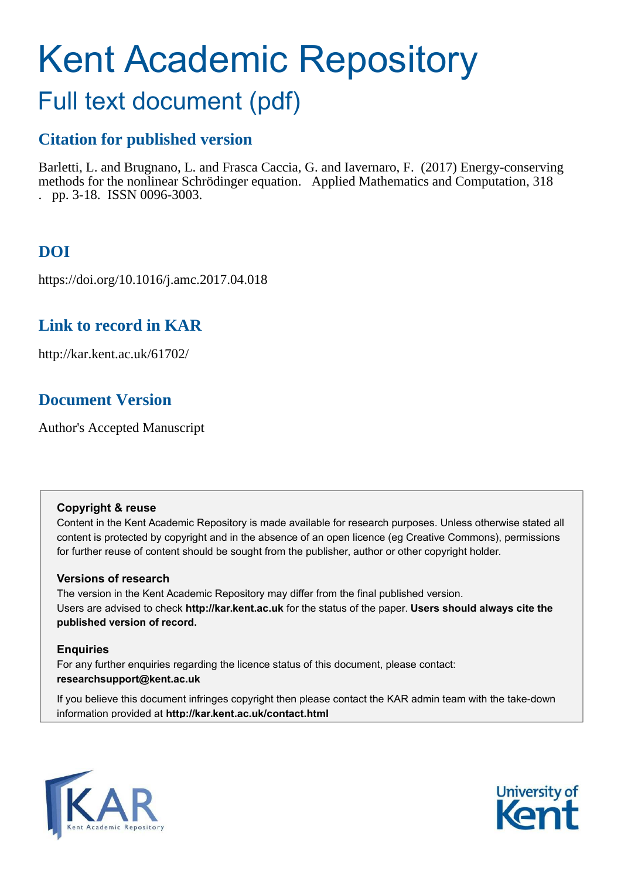# Kent Academic Repository

## Full text document (pdf)

## **Citation for published version**

Barletti, L. and Brugnano, L. and Frasca Caccia, G. and Iavernaro, F. (2017) Energy-conserving methods for the nonlinear Schrödinger equation. Applied Mathematics and Computation, 318 . pp. 3-18. ISSN 0096-3003.

## **DOI**

https://doi.org/10.1016/j.amc.2017.04.018

## **Link to record in KAR**

http://kar.kent.ac.uk/61702/

## **Document Version**

Author's Accepted Manuscript

#### **Copyright & reuse**

Content in the Kent Academic Repository is made available for research purposes. Unless otherwise stated all content is protected by copyright and in the absence of an open licence (eg Creative Commons), permissions for further reuse of content should be sought from the publisher, author or other copyright holder.

#### **Versions of research**

The version in the Kent Academic Repository may differ from the final published version. Users are advised to check **http://kar.kent.ac.uk** for the status of the paper. **Users should always cite the published version of record.**

#### **Enquiries**

For any further enquiries regarding the licence status of this document, please contact: **researchsupport@kent.ac.uk**

If you believe this document infringes copyright then please contact the KAR admin team with the take-down information provided at **http://kar.kent.ac.uk/contact.html**



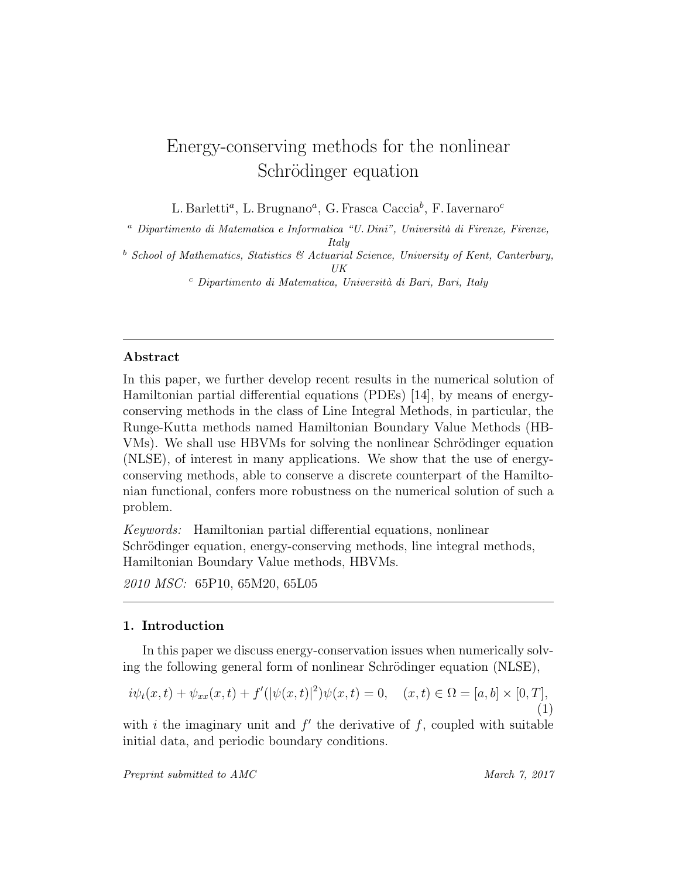## Energy-conserving methods for the nonlinear Schrödinger equation

L. Barletti<sup>a</sup>, L. Brugnano<sup>a</sup>, G. Frasca Caccia<sup>b</sup>, F. Iavernaro<sup>c</sup>

 $a$  Dipartimento di Matematica e Informatica "U. Dini", Università di Firenze, Firenze, Italy

 $b$  School of Mathematics, Statistics  $b$  Actuarial Science, University of Kent, Canterbury, UK

 $c$  Dipartimento di Matematica, Università di Bari, Bari, Italy

#### Abstract

In this paper, we further develop recent results in the numerical solution of Hamiltonian partial differential equations (PDEs) [14], by means of energyconserving methods in the class of Line Integral Methods, in particular, the Runge-Kutta methods named Hamiltonian Boundary Value Methods (HB-VMs). We shall use HBVMs for solving the nonlinear Schrödinger equation (NLSE), of interest in many applications. We show that the use of energyconserving methods, able to conserve a discrete counterpart of the Hamiltonian functional, confers more robustness on the numerical solution of such a problem.

Keywords: Hamiltonian partial differential equations, nonlinear Schrödinger equation, energy-conserving methods, line integral methods, Hamiltonian Boundary Value methods, HBVMs.

2010 MSC: 65P10, 65M20, 65L05

#### 1. Introduction

In this paper we discuss energy-conservation issues when numerically solving the following general form of nonlinear Schrödinger equation (NLSE),

$$
i\psi_t(x,t) + \psi_{xx}(x,t) + f'(|\psi(x,t)|^2)\psi(x,t) = 0, \quad (x,t) \in \Omega = [a,b] \times [0,T],
$$
\n(1)

with i the imaginary unit and  $f'$  the derivative of f, coupled with suitable initial data, and periodic boundary conditions.

Preprint submitted to AMC March 7, 2017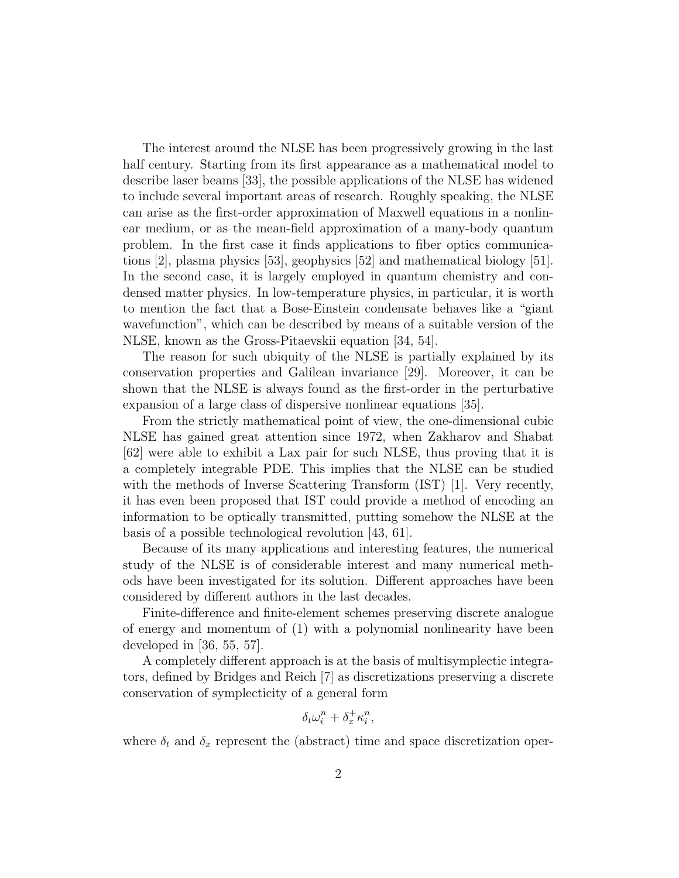The interest around the NLSE has been progressively growing in the last half century. Starting from its first appearance as a mathematical model to describe laser beams [33], the possible applications of the NLSE has widened to include several important areas of research. Roughly speaking, the NLSE can arise as the first-order approximation of Maxwell equations in a nonlinear medium, or as the mean-field approximation of a many-body quantum problem. In the first case it finds applications to fiber optics communications [2], plasma physics [53], geophysics [52] and mathematical biology [51]. In the second case, it is largely employed in quantum chemistry and condensed matter physics. In low-temperature physics, in particular, it is worth to mention the fact that a Bose-Einstein condensate behaves like a "giant wavefunction", which can be described by means of a suitable version of the NLSE, known as the Gross-Pitaevskii equation [34, 54].

The reason for such ubiquity of the NLSE is partially explained by its conservation properties and Galilean invariance [29]. Moreover, it can be shown that the NLSE is always found as the first-order in the perturbative expansion of a large class of dispersive nonlinear equations [35].

From the strictly mathematical point of view, the one-dimensional cubic NLSE has gained great attention since 1972, when Zakharov and Shabat [62] were able to exhibit a Lax pair for such NLSE, thus proving that it is a completely integrable PDE. This implies that the NLSE can be studied with the methods of Inverse Scattering Transform (IST) [1]. Very recently, it has even been proposed that IST could provide a method of encoding an information to be optically transmitted, putting somehow the NLSE at the basis of a possible technological revolution [43, 61].

Because of its many applications and interesting features, the numerical study of the NLSE is of considerable interest and many numerical methods have been investigated for its solution. Different approaches have been considered by different authors in the last decades.

Finite-difference and finite-element schemes preserving discrete analogue of energy and momentum of (1) with a polynomial nonlinearity have been developed in [36, 55, 57].

A completely different approach is at the basis of multisymplectic integrators, defined by Bridges and Reich [7] as discretizations preserving a discrete conservation of symplecticity of a general form

$$
\delta_t\omega_i^n+\delta_x^+\kappa_i^n,
$$

where  $\delta_t$  and  $\delta_x$  represent the (abstract) time and space discretization oper-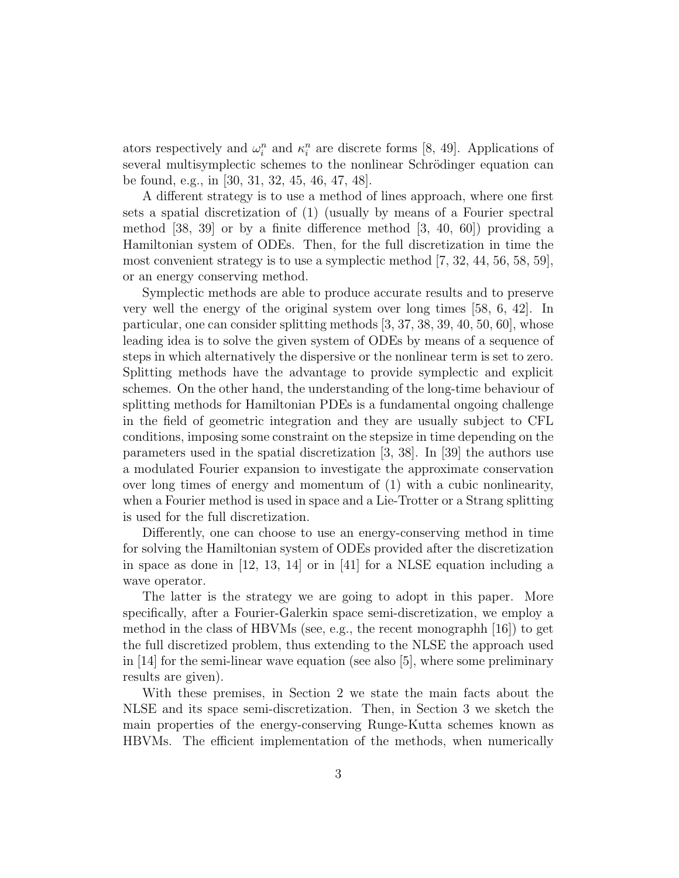ators respectively and  $\omega_i^n$  and  $\kappa_i^n$  are discrete forms [8, 49]. Applications of several multisymplectic schemes to the nonlinear Schrödinger equation can be found, e.g., in [30, 31, 32, 45, 46, 47, 48].

A different strategy is to use a method of lines approach, where one first sets a spatial discretization of (1) (usually by means of a Fourier spectral method [38, 39] or by a finite difference method [3, 40, 60]) providing a Hamiltonian system of ODEs. Then, for the full discretization in time the most convenient strategy is to use a symplectic method [7, 32, 44, 56, 58, 59], or an energy conserving method.

Symplectic methods are able to produce accurate results and to preserve very well the energy of the original system over long times [58, 6, 42]. In particular, one can consider splitting methods [3, 37, 38, 39, 40, 50, 60], whose leading idea is to solve the given system of ODEs by means of a sequence of steps in which alternatively the dispersive or the nonlinear term is set to zero. Splitting methods have the advantage to provide symplectic and explicit schemes. On the other hand, the understanding of the long-time behaviour of splitting methods for Hamiltonian PDEs is a fundamental ongoing challenge in the field of geometric integration and they are usually subject to CFL conditions, imposing some constraint on the stepsize in time depending on the parameters used in the spatial discretization [3, 38]. In [39] the authors use a modulated Fourier expansion to investigate the approximate conservation over long times of energy and momentum of (1) with a cubic nonlinearity, when a Fourier method is used in space and a Lie-Trotter or a Strang splitting is used for the full discretization.

Differently, one can choose to use an energy-conserving method in time for solving the Hamiltonian system of ODEs provided after the discretization in space as done in  $[12, 13, 14]$  or in  $[41]$  for a NLSE equation including a wave operator.

The latter is the strategy we are going to adopt in this paper. More specifically, after a Fourier-Galerkin space semi-discretization, we employ a method in the class of HBVMs (see, e.g., the recent monographh [16]) to get the full discretized problem, thus extending to the NLSE the approach used in [14] for the semi-linear wave equation (see also [5], where some preliminary results are given).

With these premises, in Section 2 we state the main facts about the NLSE and its space semi-discretization. Then, in Section 3 we sketch the main properties of the energy-conserving Runge-Kutta schemes known as HBVMs. The efficient implementation of the methods, when numerically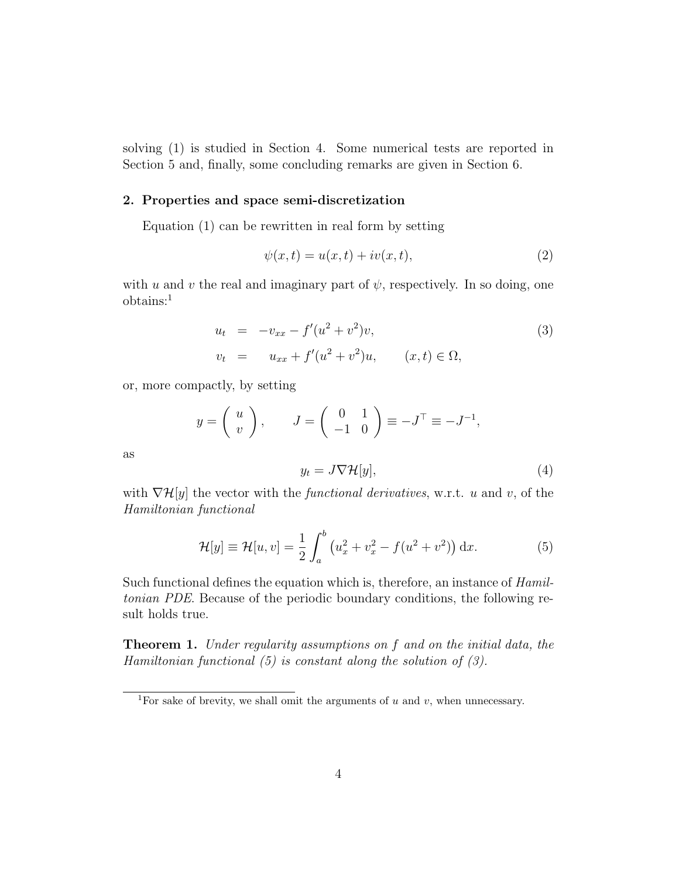solving (1) is studied in Section 4. Some numerical tests are reported in Section 5 and, finally, some concluding remarks are given in Section 6.

#### 2. Properties and space semi-discretization

Equation (1) can be rewritten in real form by setting

$$
\psi(x,t) = u(x,t) + iv(x,t),\tag{2}
$$

with u and v the real and imaginary part of  $\psi$ , respectively. In so doing, one obtains:<sup>1</sup>

$$
u_t = -v_{xx} - f'(u^2 + v^2)v,
$$
  
\n
$$
v_t = u_{xx} + f'(u^2 + v^2)u,
$$
  $(x, t) \in \Omega,$  (3)

or, more compactly, by setting

$$
y = \begin{pmatrix} u \\ v \end{pmatrix}, \qquad J = \begin{pmatrix} 0 & 1 \\ -1 & 0 \end{pmatrix} \equiv -J^{\top} \equiv -J^{-1},
$$

as

$$
y_t = J \nabla \mathcal{H}[y],\tag{4}
$$

with  $\nabla \mathcal{H}[y]$  the vector with the *functional derivatives*, w.r.t. u and v, of the Hamiltonian functional

$$
\mathcal{H}[y] \equiv \mathcal{H}[u, v] = \frac{1}{2} \int_{a}^{b} \left( u_x^2 + v_x^2 - f(u^2 + v^2) \right) dx.
$$
 (5)

Such functional defines the equation which is, therefore, an instance of Hamiltonian PDE. Because of the periodic boundary conditions, the following result holds true.

**Theorem 1.** Under regularity assumptions on f and on the initial data, the Hamiltonian functional  $(5)$  is constant along the solution of  $(3)$ .

<sup>&</sup>lt;sup>1</sup>For sake of brevity, we shall omit the arguments of  $u$  and  $v$ , when unnecessary.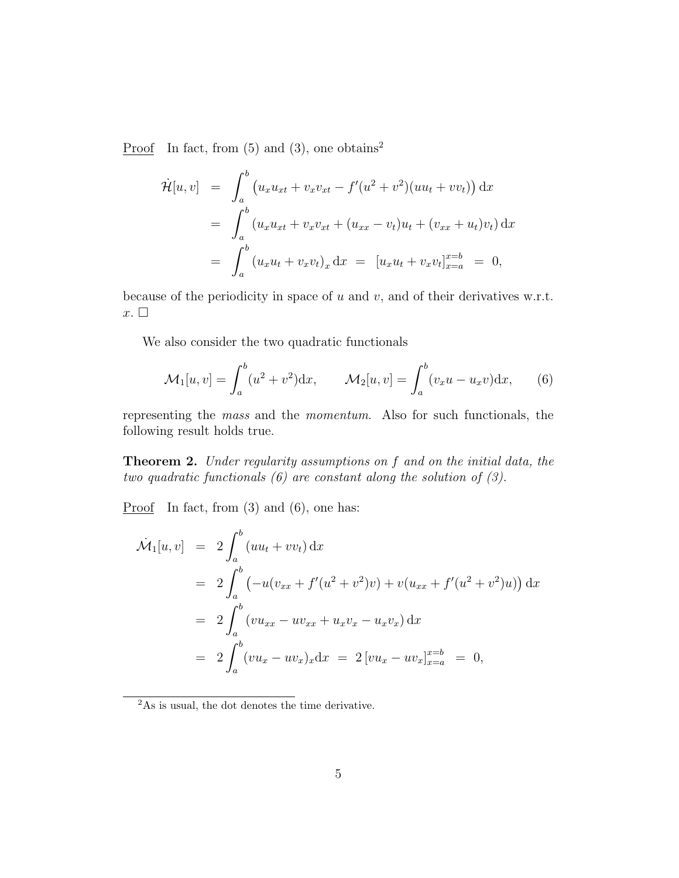Proof In fact, from  $(5)$  and  $(3)$ , one obtains<sup>2</sup>

$$
\dot{\mathcal{H}}[u, v] = \int_{a}^{b} (u_x u_{xt} + v_x v_{xt} - f'(u^2 + v^2)(uu_t + vv_t)) dx
$$
  
\n
$$
= \int_{a}^{b} (u_x u_{xt} + v_x v_{xt} + (u_{xx} - v_t)u_t + (v_{xx} + u_t)v_t) dx
$$
  
\n
$$
= \int_{a}^{b} (u_x u_t + v_x v_t)_x dx = [u_x u_t + v_x v_t]_{x=a}^{x=b} = 0,
$$

because of the periodicity in space of  $u$  and  $v$ , and of their derivatives w.r.t.  $x.$ 

We also consider the two quadratic functionals

$$
\mathcal{M}_1[u,v] = \int_a^b (u^2 + v^2) \mathrm{d}x, \qquad \mathcal{M}_2[u,v] = \int_a^b (v_x u - u_x v) \mathrm{d}x, \qquad (6)
$$

representing the mass and the momentum. Also for such functionals, the following result holds true.

Theorem 2. Under regularity assumptions on f and on the initial data, the two quadratic functionals (6) are constant along the solution of (3).

**Proof** In fact, from  $(3)$  and  $(6)$ , one has:

$$
\dot{M}_1[u, v] = 2 \int_a^b (uu_t + vv_t) dx
$$
  
\n
$$
= 2 \int_a^b (-u(v_{xx} + f'(u^2 + v^2)v) + v(u_{xx} + f'(u^2 + v^2)u)) dx
$$
  
\n
$$
= 2 \int_a^b (vu_{xx} - uv_{xx} + u_xv_x - u_xv_x) dx
$$
  
\n
$$
= 2 \int_a^b (vu_x - uv_x)_x dx = 2 [vu_x - uv_x]_{x=a}^{x=b} = 0,
$$

 $^{2}$ As is usual, the dot denotes the time derivative.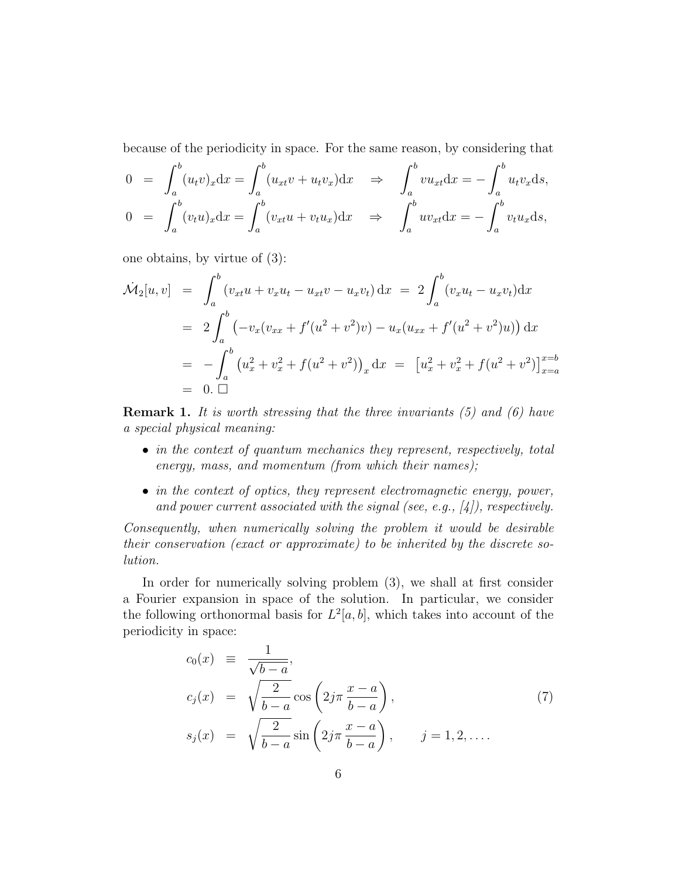because of the periodicity in space. For the same reason, by considering that

$$
0 = \int_a^b (u_t v)_x dx = \int_a^b (u_{xt} v + u_t v_x) dx \Rightarrow \int_a^b v u_{xt} dx = -\int_a^b u_t v_x ds,
$$
  
\n
$$
0 = \int_a^b (v_t u)_x dx = \int_a^b (v_{xt} u + v_t u_x) dx \Rightarrow \int_a^b u v_{xt} dx = -\int_a^b v_t u_x ds,
$$

one obtains, by virtue of (3):

$$
\dot{M}_2[u, v] = \int_a^b (v_{xt}u + v_xu_t - u_{xt}v - u_xv_t) dx = 2 \int_a^b (v_xu_t - u_xv_t) dx
$$
  
\n
$$
= 2 \int_a^b (-v_x(v_{xx} + f'(u^2 + v^2)v) - u_x(u_{xx} + f'(u^2 + v^2)u)) dx
$$
  
\n
$$
= - \int_a^b (u_x^2 + v_x^2 + f(u^2 + v^2))_x dx = [u_x^2 + v_x^2 + f(u^2 + v^2)]_{x=a}^{x=b}
$$
  
\n
$$
= 0. \square
$$

**Remark 1.** It is worth stressing that the three invariants  $(5)$  and  $(6)$  have a special physical meaning:

- in the context of quantum mechanics they represent, respectively, total energy, mass, and momentum (from which their names);
- in the context of optics, they represent electromagnetic energy, power, and power current associated with the signal (see, e.g.,  $[4]$ ), respectively.

Consequently, when numerically solving the problem it would be desirable their conservation (exact or approximate) to be inherited by the discrete solution.

In order for numerically solving problem (3), we shall at first consider a Fourier expansion in space of the solution. In particular, we consider the following orthonormal basis for  $L^2[a, b]$ , which takes into account of the periodicity in space:

$$
c_0(x) \equiv \frac{1}{\sqrt{b-a}},
$$
  
\n
$$
c_j(x) = \sqrt{\frac{2}{b-a}} \cos\left(2j\pi \frac{x-a}{b-a}\right),
$$
  
\n
$$
s_j(x) = \sqrt{\frac{2}{b-a}} \sin\left(2j\pi \frac{x-a}{b-a}\right), \qquad j = 1, 2, ....
$$
\n(7)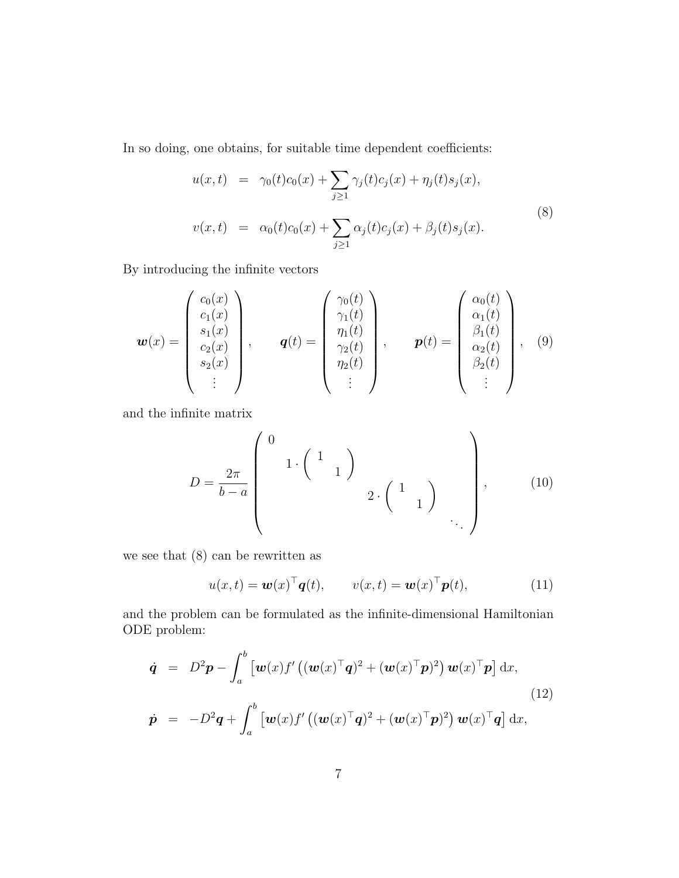In so doing, one obtains, for suitable time dependent coefficients:

$$
u(x,t) = \gamma_0(t)c_0(x) + \sum_{j\geq 1} \gamma_j(t)c_j(x) + \eta_j(t)s_j(x),
$$
  

$$
v(x,t) = \alpha_0(t)c_0(x) + \sum_{j\geq 1} \alpha_j(t)c_j(x) + \beta_j(t)s_j(x).
$$
 (8)

By introducing the infinite vectors

$$
\mathbf{w}(x) = \begin{pmatrix} c_0(x) \\ c_1(x) \\ s_1(x) \\ c_2(x) \\ s_2(x) \\ \vdots \end{pmatrix}, \qquad \mathbf{q}(t) = \begin{pmatrix} \gamma_0(t) \\ \gamma_1(t) \\ \eta_1(t) \\ \gamma_2(t) \\ \eta_2(t) \\ \vdots \end{pmatrix}, \qquad \mathbf{p}(t) = \begin{pmatrix} \alpha_0(t) \\ \alpha_1(t) \\ \beta_1(t) \\ \alpha_2(t) \\ \beta_2(t) \\ \vdots \end{pmatrix}, \qquad (9)
$$

and the infinite matrix

$$
D = \frac{2\pi}{b-a} \begin{pmatrix} 0 & & & \\ & 1 \cdot \begin{pmatrix} 1 & & \\ & 1 \end{pmatrix} & \\ & & 2 \cdot \begin{pmatrix} 1 & \\ & 1 \end{pmatrix} & \\ & & \ddots \end{pmatrix}, \tag{10}
$$

we see that (8) can be rewritten as

$$
u(x,t) = \boldsymbol{w}(x)^{\top} \boldsymbol{q}(t), \qquad v(x,t) = \boldsymbol{w}(x)^{\top} \boldsymbol{p}(t), \tag{11}
$$

and the problem can be formulated as the infinite-dimensional Hamiltonian ODE problem:

$$
\dot{\mathbf{q}} = D^2 \mathbf{p} - \int_a^b \left[ \boldsymbol{w}(x) f' \left( (\boldsymbol{w}(x)^\top \mathbf{q})^2 + (\boldsymbol{w}(x)^\top \mathbf{p})^2 \right) \boldsymbol{w}(x)^\top \mathbf{p} \right] dx,
$$
\n
$$
\dot{\mathbf{p}} = -D^2 \mathbf{q} + \int_a^b \left[ \boldsymbol{w}(x) f' \left( (\boldsymbol{w}(x)^\top \mathbf{q})^2 + (\boldsymbol{w}(x)^\top \mathbf{p})^2 \right) \boldsymbol{w}(x)^\top \mathbf{q} \right] dx,
$$
\n(12)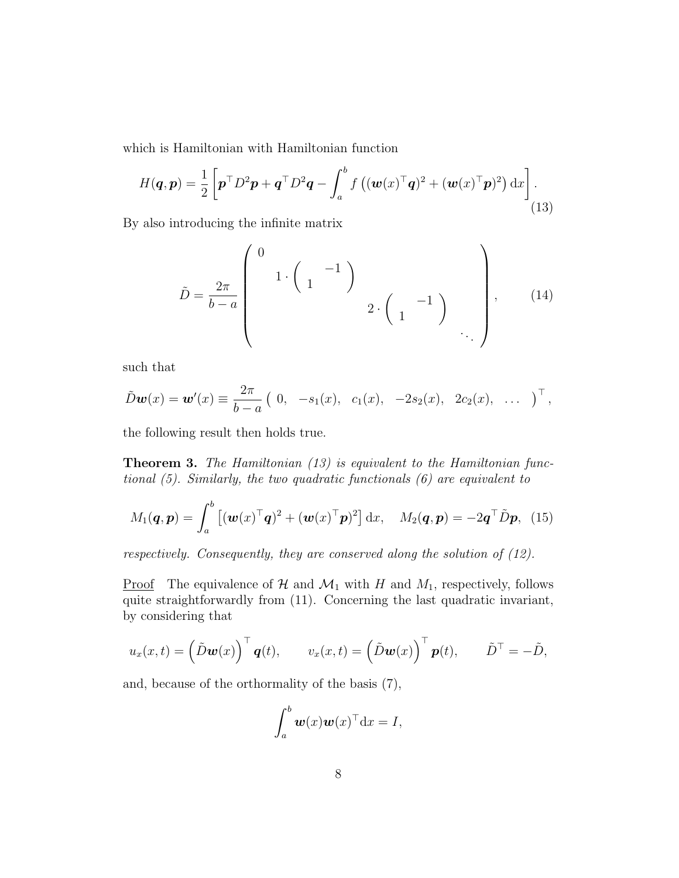which is Hamiltonian with Hamiltonian function

$$
H(\boldsymbol{q}, \boldsymbol{p}) = \frac{1}{2} \left[ \boldsymbol{p}^{\top} D^2 \boldsymbol{p} + \boldsymbol{q}^{\top} D^2 \boldsymbol{q} - \int_a^b f\left( (\boldsymbol{w}(x)^{\top} \boldsymbol{q})^2 + (\boldsymbol{w}(x)^{\top} \boldsymbol{p})^2 \right) dx \right].
$$
\n(13)

By also introducing the infinite matrix

$$
\tilde{D} = \frac{2\pi}{b-a} \begin{pmatrix} 0 & & & & \\ & 1 \cdot \begin{pmatrix} & -1 \\ 1 & & \end{pmatrix} & & \\ & & 2 \cdot \begin{pmatrix} & -1 \\ 1 & & \end{pmatrix} & \\ & & \ddots \end{pmatrix}, \qquad (14)
$$

such that

$$
\tilde{D}\mathbf{w}(x) = \mathbf{w}'(x) \equiv \frac{2\pi}{b-a} \left( 0, -s_1(x), c_1(x), -2s_2(x), 2c_2(x), \ldots \right)^{\top},
$$

the following result then holds true.

Theorem 3. The Hamiltonian (13) is equivalent to the Hamiltonian functional (5). Similarly, the two quadratic functionals (6) are equivalent to

$$
M_1(\boldsymbol{q}, \boldsymbol{p}) = \int_a^b \left[ (\boldsymbol{w}(x)^\top \boldsymbol{q})^2 + (\boldsymbol{w}(x)^\top \boldsymbol{p})^2 \right] dx, \quad M_2(\boldsymbol{q}, \boldsymbol{p}) = -2\boldsymbol{q}^\top \tilde{D} \boldsymbol{p}, \tag{15}
$$

respectively. Consequently, they are conserved along the solution of (12).

<u>Proof</u> The equivalence of H and  $\mathcal{M}_1$  with H and  $M_1$ , respectively, follows quite straightforwardly from (11). Concerning the last quadratic invariant, by considering that

$$
u_x(x,t) = \left(\tilde{D}\mathbf{w}(x)\right)^{\top} \mathbf{q}(t), \qquad v_x(x,t) = \left(\tilde{D}\mathbf{w}(x)\right)^{\top} \mathbf{p}(t), \qquad \tilde{D}^{\top} = -\tilde{D},
$$

and, because of the orthormality of the basis (7),

$$
\int_a^b \boldsymbol{w}(x) \boldsymbol{w}(x)^\top \mathrm{d}x = I,
$$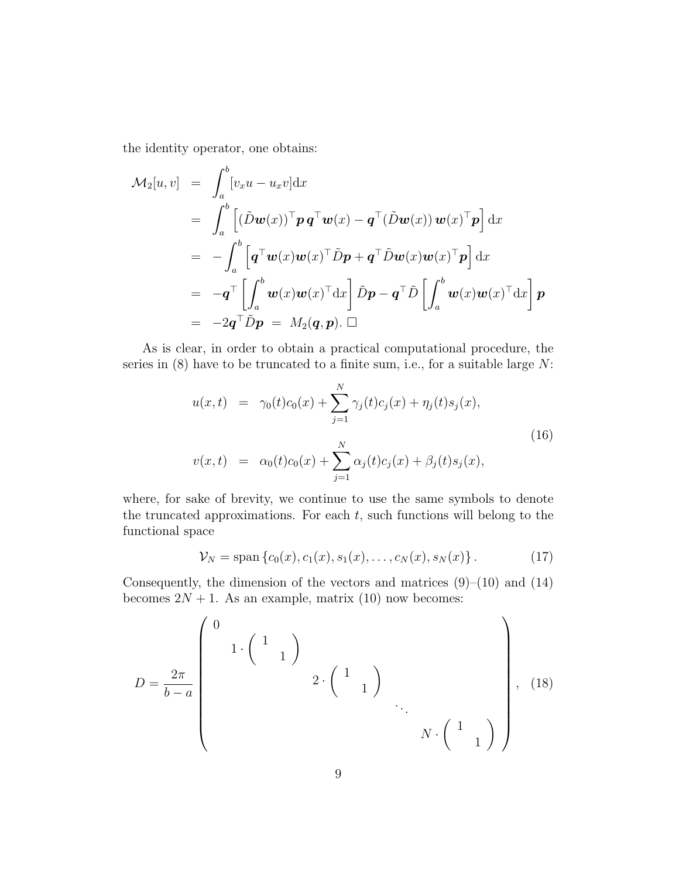the identity operator, one obtains:

$$
\mathcal{M}_2[u, v] = \int_a^b [v_x u - u_x v] dx
$$
  
\n
$$
= \int_a^b \left[ (\tilde{D} \mathbf{w}(x))^{\top} \mathbf{p} \mathbf{q}^{\top} \mathbf{w}(x) - \mathbf{q}^{\top} (\tilde{D} \mathbf{w}(x)) \mathbf{w}(x)^{\top} \mathbf{p} \right] dx
$$
  
\n
$$
= - \int_a^b \left[ \mathbf{q}^{\top} \mathbf{w}(x) \mathbf{w}(x)^{\top} \tilde{D} \mathbf{p} + \mathbf{q}^{\top} \tilde{D} \mathbf{w}(x) \mathbf{w}(x)^{\top} \mathbf{p} \right] dx
$$
  
\n
$$
= - \mathbf{q}^{\top} \left[ \int_a^b \mathbf{w}(x) \mathbf{w}(x)^{\top} dx \right] \tilde{D} \mathbf{p} - \mathbf{q}^{\top} \tilde{D} \left[ \int_a^b \mathbf{w}(x) \mathbf{w}(x)^{\top} dx \right] \mathbf{p}
$$
  
\n
$$
= -2 \mathbf{q}^{\top} \tilde{D} \mathbf{p} = M_2(\mathbf{q}, \mathbf{p}). \Box
$$

As is clear, in order to obtain a practical computational procedure, the series in  $(8)$  have to be truncated to a finite sum, i.e., for a suitable large  $N$ :

$$
u(x,t) = \gamma_0(t)c_0(x) + \sum_{j=1}^N \gamma_j(t)c_j(x) + \eta_j(t)s_j(x),
$$
  
\n
$$
v(x,t) = \alpha_0(t)c_0(x) + \sum_{j=1}^N \alpha_j(t)c_j(x) + \beta_j(t)s_j(x),
$$
\n(16)

where, for sake of brevity, we continue to use the same symbols to denote the truncated approximations. For each  $t$ , such functions will belong to the functional space

$$
\mathcal{V}_N = \text{span}\left\{c_0(x), c_1(x), s_1(x), \dots, c_N(x), s_N(x)\right\}.
$$
 (17)

Consequently, the dimension of the vectors and matrices  $(9)$ – $(10)$  and  $(14)$ becomes  $2N + 1$ . As an example, matrix (10) now becomes:

$$
D = \frac{2\pi}{b-a} \left( \begin{array}{cccc} 0 & & & & \\ & 1 \cdot \begin{pmatrix} 1 & & \\ & 1 \end{pmatrix} & & \\ & & 2 \cdot \begin{pmatrix} 1 & & \\ & 1 \end{pmatrix} & \\ & & \ddots & \\ & & N \cdot \begin{pmatrix} 1 & \\ & 1 \end{pmatrix} \end{array} \right), \tag{18}
$$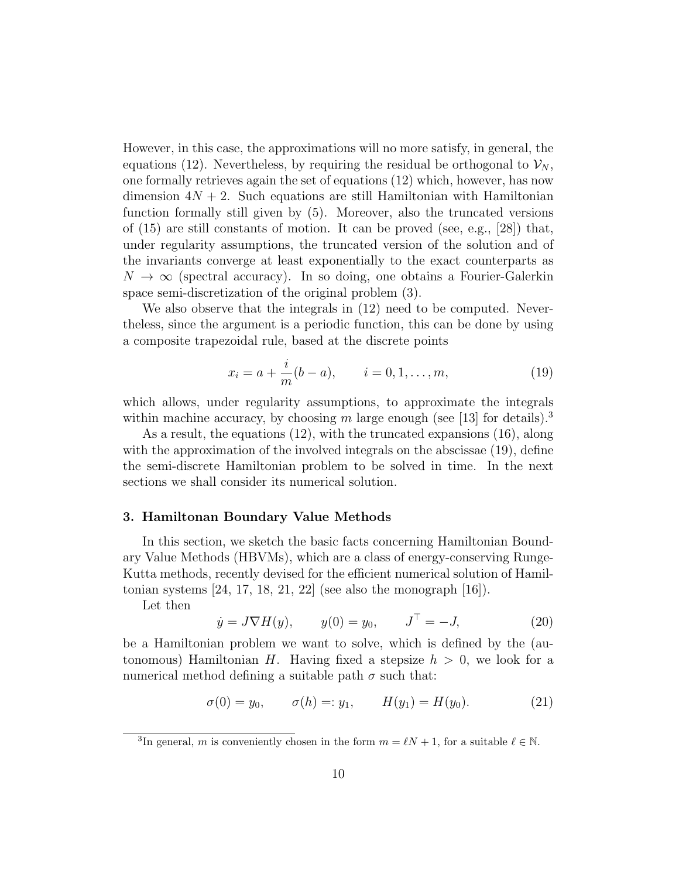However, in this case, the approximations will no more satisfy, in general, the equations (12). Nevertheless, by requiring the residual be orthogonal to  $\mathcal{V}_N$ , one formally retrieves again the set of equations (12) which, however, has now dimension  $4N + 2$ . Such equations are still Hamiltonian with Hamiltonian function formally still given by (5). Moreover, also the truncated versions of  $(15)$  are still constants of motion. It can be proved (see, e.g., [28]) that, under regularity assumptions, the truncated version of the solution and of the invariants converge at least exponentially to the exact counterparts as  $N \to \infty$  (spectral accuracy). In so doing, one obtains a Fourier-Galerkin space semi-discretization of the original problem (3).

We also observe that the integrals in (12) need to be computed. Nevertheless, since the argument is a periodic function, this can be done by using a composite trapezoidal rule, based at the discrete points

$$
x_i = a + \frac{i}{m}(b - a), \qquad i = 0, 1, \dots, m,
$$
 (19)

which allows, under regularity assumptions, to approximate the integrals within machine accuracy, by choosing m large enough (see [13] for details).<sup>3</sup>

As a result, the equations (12), with the truncated expansions (16), along with the approximation of the involved integrals on the abscissae  $(19)$ , define the semi-discrete Hamiltonian problem to be solved in time. In the next sections we shall consider its numerical solution.

#### 3. Hamiltonan Boundary Value Methods

In this section, we sketch the basic facts concerning Hamiltonian Boundary Value Methods (HBVMs), which are a class of energy-conserving Runge-Kutta methods, recently devised for the efficient numerical solution of Hamiltonian systems  $[24, 17, 18, 21, 22]$  (see also the monograph  $[16]$ ).

Let then

$$
\dot{y} = J \nabla H(y), \qquad y(0) = y_0, \qquad J^{\top} = -J,
$$
\n(20)

be a Hamiltonian problem we want to solve, which is defined by the (autonomous) Hamiltonian H. Having fixed a stepsize  $h > 0$ , we look for a numerical method defining a suitable path  $\sigma$  such that:

$$
\sigma(0) = y_0, \qquad \sigma(h) =: y_1, \qquad H(y_1) = H(y_0). \tag{21}
$$

<sup>&</sup>lt;sup>3</sup>In general, m is conveniently chosen in the form  $m = \ell N + 1$ , for a suitable  $\ell \in \mathbb{N}$ .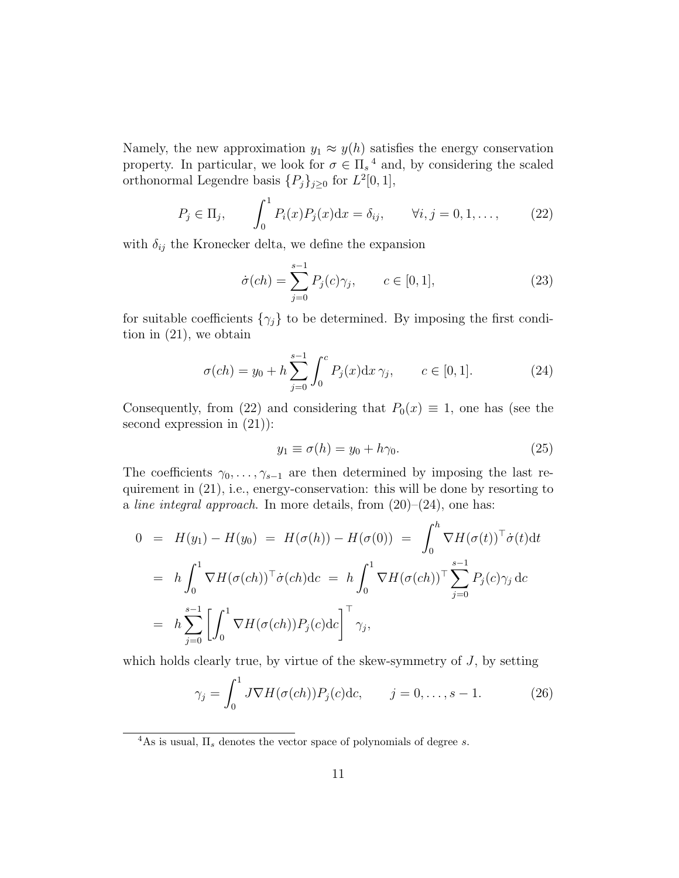Namely, the new approximation  $y_1 \approx y(h)$  satisfies the energy conservation property. In particular, we look for  $\sigma \in \Pi_s^4$  and, by considering the scaled orthonormal Legendre basis  $\{P_j\}_{j\geq 0}$  for  $L^2[0,1],$ 

$$
P_j \in \Pi_j, \qquad \int_0^1 P_i(x) P_j(x) dx = \delta_{ij}, \qquad \forall i, j = 0, 1, \dots,
$$
 (22)

with  $\delta_{ij}$  the Kronecker delta, we define the expansion

$$
\dot{\sigma}(ch) = \sum_{j=0}^{s-1} P_j(c)\gamma_j, \qquad c \in [0, 1], \tag{23}
$$

for suitable coefficients  $\{\gamma_j\}$  to be determined. By imposing the first condition in (21), we obtain

$$
\sigma(ch) = y_0 + h \sum_{j=0}^{s-1} \int_0^c P_j(x) dx \, \gamma_j, \qquad c \in [0, 1]. \tag{24}
$$

Consequently, from (22) and considering that  $P_0(x) \equiv 1$ , one has (see the second expression in (21)):

$$
y_1 \equiv \sigma(h) = y_0 + h\gamma_0. \tag{25}
$$

The coefficients  $\gamma_0, \ldots, \gamma_{s-1}$  are then determined by imposing the last requirement in (21), i.e., energy-conservation: this will be done by resorting to a line integral approach. In more details, from  $(20)-(24)$ , one has:

$$
0 = H(y_1) - H(y_0) = H(\sigma(h)) - H(\sigma(0)) = \int_0^h \nabla H(\sigma(t))^\top \dot{\sigma}(t) dt
$$
  
\n
$$
= h \int_0^1 \nabla H(\sigma(ch))^\top \dot{\sigma}(ch) dc = h \int_0^1 \nabla H(\sigma(ch))^\top \sum_{j=0}^{s-1} P_j(c) \gamma_j dc
$$
  
\n
$$
= h \sum_{j=0}^{s-1} \left[ \int_0^1 \nabla H(\sigma(ch)) P_j(c) dc \right]^\top \gamma_j,
$$

which holds clearly true, by virtue of the skew-symmetry of  $J$ , by setting

$$
\gamma_j = \int_0^1 J \nabla H(\sigma(ch)) P_j(c) \, \mathrm{d}c, \qquad j = 0, \dots, s - 1. \tag{26}
$$

<sup>4</sup>As is usual,  $\Pi_s$  denotes the vector space of polynomials of degree s.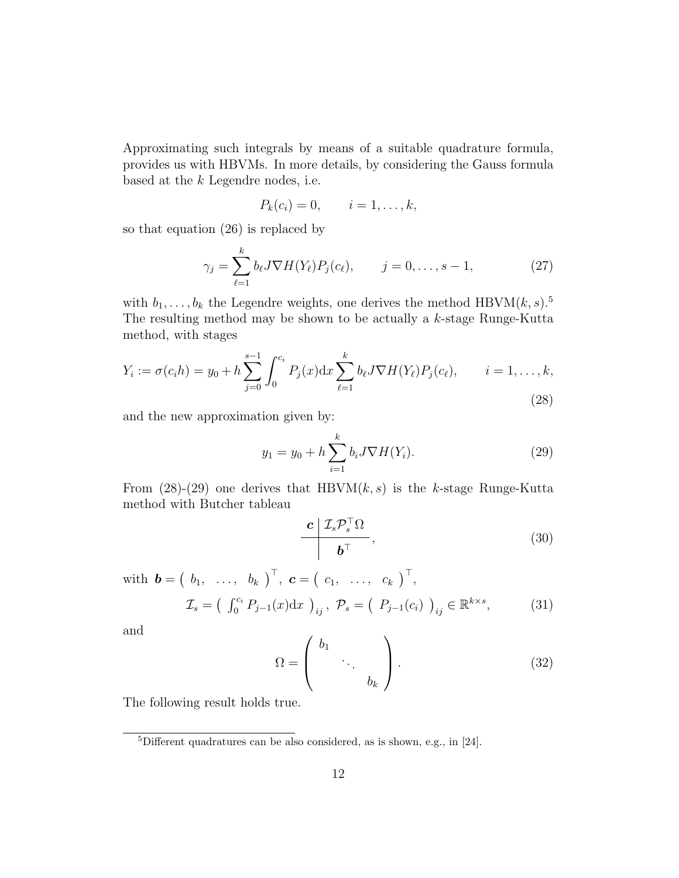Approximating such integrals by means of a suitable quadrature formula, provides us with HBVMs. In more details, by considering the Gauss formula based at the k Legendre nodes, i.e.

$$
P_k(c_i) = 0, \qquad i = 1, \ldots, k,
$$

so that equation (26) is replaced by

$$
\gamma_j = \sum_{\ell=1}^k b_\ell J \nabla H(Y_\ell) P_j(c_\ell), \qquad j = 0, \dots, s-1,
$$
\n(27)

with  $b_1, \ldots, b_k$  the Legendre weights, one derives the method HBVM $(k, s)$ .<sup>5</sup> The resulting method may be shown to be actually a k-stage Runge-Kutta method, with stages

$$
Y_i := \sigma(c_i h) = y_0 + h \sum_{j=0}^{s-1} \int_0^{c_i} P_j(x) dx \sum_{\ell=1}^k b_\ell J \nabla H(Y_\ell) P_j(c_\ell), \qquad i = 1, \dots, k,
$$
\n(28)

and the new approximation given by:

$$
y_1 = y_0 + h \sum_{i=1}^{k} b_i J \nabla H(Y_i).
$$
 (29)

From  $(28)-(29)$  one derives that HBVM $(k, s)$  is the k-stage Runge-Kutta method with Butcher tableau

$$
\frac{\boldsymbol{c} \mid \mathcal{I}_s \mathcal{P}_s^\top \Omega}{\boldsymbol{b}^\top},
$$
\n(30)

with  $\boldsymbol{b} = \begin{pmatrix} b_1, & \ldots, & b_k \end{pmatrix}^\top$ ,  $\boldsymbol{c} = \begin{pmatrix} c_1, & \ldots, & c_k \end{pmatrix}^\top$ ,  $\mathcal{I}_s = \begin{pmatrix} \int_0^{c_i} P_{j-1}(x) dx \end{pmatrix}_{ij}, \ \mathcal{P}_s = \begin{pmatrix} P_{j-1}(c_i) \end{pmatrix}_{ij} \in \mathbb{R}^{k \times s}$  $(31)$ 

and

$$
\Omega = \begin{pmatrix} b_1 & & \\ & \ddots & \\ & & b_k \end{pmatrix} . \tag{32}
$$

The following result holds true.

<sup>5</sup>Different quadratures can be also considered, as is shown, e.g., in [24].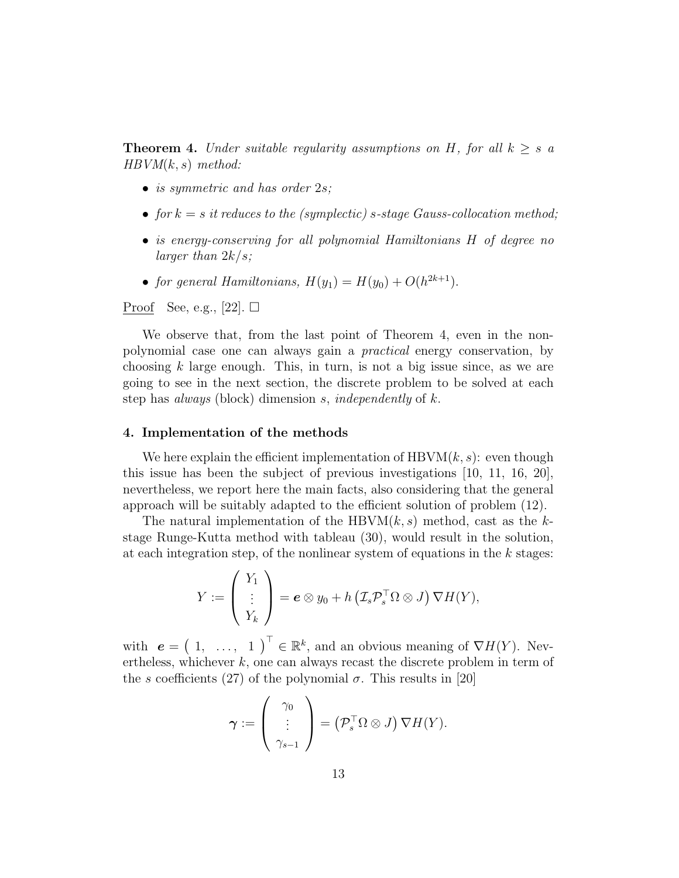**Theorem 4.** Under suitable regularity assumptions on H, for all  $k \geq s$  a  $HBVM(k, s)$  method:

- is symmetric and has order 2s;
- for  $k = s$  it reduces to the (symplectic) s-stage Gauss-collocation method;
- is energy-conserving for all polynomial Hamiltonians H of degree no larger than  $2k/s$ ;
- for general Hamiltonians,  $H(y_1) = H(y_0) + O(h^{2k+1}).$

Proof See, e.g., [22].  $\square$ 

We observe that, from the last point of Theorem 4, even in the nonpolynomial case one can always gain a practical energy conservation, by choosing  $k$  large enough. This, in turn, is not a big issue since, as we are going to see in the next section, the discrete problem to be solved at each step has *always* (block) dimension s, *independently* of  $k$ .

#### 4. Implementation of the methods

We here explain the efficient implementation of  $HBVM(k, s)$ : even though this issue has been the subject of previous investigations [10, 11, 16, 20], nevertheless, we report here the main facts, also considering that the general approach will be suitably adapted to the efficient solution of problem (12).

The natural implementation of the HBVM $(k, s)$  method, cast as the kstage Runge-Kutta method with tableau (30), would result in the solution, at each integration step, of the nonlinear system of equations in the  $k$  stages:

$$
Y := \left(\begin{array}{c} Y_1 \\ \vdots \\ Y_k \end{array}\right) = \boldsymbol{e} \otimes y_0 + h \left(\mathcal{I}_s \mathcal{P}_s^{\top} \Omega \otimes J\right) \nabla H(Y),
$$

with  $e = \begin{pmatrix} 1, & \ldots, & 1 \end{pmatrix}^{\top} \in \mathbb{R}^{k}$ , and an obvious meaning of  $\nabla H(Y)$ . Nevertheless, whichever  $k$ , one can always recast the discrete problem in term of the s coefficients (27) of the polynomial  $\sigma$ . This results in [20]

$$
\boldsymbol{\gamma} := \left(\begin{array}{c} \gamma_0 \\ \vdots \\ \gamma_{s-1} \end{array}\right) = \left(\mathcal{P}_s^{\top} \Omega \otimes J\right) \nabla H(Y).
$$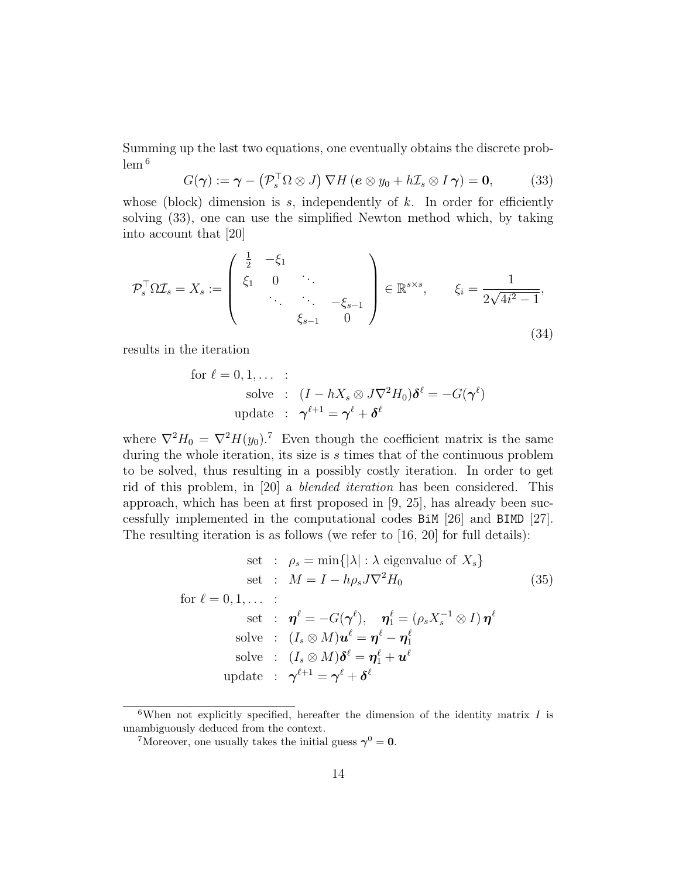Summing up the last two equations, one eventually obtains the discrete prob $lem<sup>6</sup>$ 

$$
G(\boldsymbol{\gamma}) := \boldsymbol{\gamma} - \left(\mathcal{P}_s^{\top} \Omega \otimes J\right) \nabla H \left(\boldsymbol{e} \otimes y_0 + h \mathcal{I}_s \otimes I \boldsymbol{\gamma}\right) = \mathbf{0},\tag{33}
$$

whose (block) dimension is s, independently of  $k$ . In order for efficiently solving (33), one can use the simplified Newton method which, by taking into account that [20]

$$
\mathcal{P}_s^{\top} \Omega \mathcal{I}_s = X_s := \begin{pmatrix} \frac{1}{2} & -\xi_1 \\ \xi_1 & 0 & \ddots \\ & \ddots & \ddots & -\xi_{s-1} \\ & & \xi_{s-1} & 0 \end{pmatrix} \in \mathbb{R}^{s \times s}, \qquad \xi_i = \frac{1}{2\sqrt{4i^2 - 1}},
$$
\n(34)

results in the iteration

for 
$$
\ell = 0, 1, ...
$$
:  
\nsolve :  $(I - hX_s \otimes J\nabla^2 H_0)\delta^{\ell} = -G(\gamma^{\ell})$   
\nupdate :  $\gamma^{\ell+1} = \gamma^{\ell} + \delta^{\ell}$ 

where  $\nabla^2 H_0 = \nabla^2 H(y_0)$ .<sup>7</sup> Even though the coefficient matrix is the same during the whole iteration, its size is s times that of the continuous problem to be solved, thus resulting in a possibly costly iteration. In order to get rid of this problem, in [20] a blended iteration has been considered. This approach, which has been at first proposed in [9, 25], has already been successfully implemented in the computational codes BiM [26] and BIMD [27]. The resulting iteration is as follows (we refer to [16, 20] for full details):

set : 
$$
\rho_s = \min\{|\lambda| : \lambda \text{ eigenvalue of } X_s\}
$$
  
\nset :  $M = I - h\rho_s J \nabla^2 H_0$  (35)  
\nfor  $\ell = 0, 1, ...$ :  
\nset :  $\boldsymbol{\eta}^{\ell} = -G(\boldsymbol{\gamma}^{\ell}), \quad \boldsymbol{\eta}_1^{\ell} = (\rho_s X_s^{-1} \otimes I) \boldsymbol{\eta}^{\ell}$   
\nsolve :  $(I_s \otimes M)\boldsymbol{u}^{\ell} = \boldsymbol{\eta}^{\ell} - \boldsymbol{\eta}_1^{\ell}$   
\nsolve :  $(I_s \otimes M)\boldsymbol{\delta}^{\ell} = \boldsymbol{\eta}_1^{\ell} + \boldsymbol{u}^{\ell}$   
\nupdate :  $\boldsymbol{\gamma}^{\ell+1} = \boldsymbol{\gamma}^{\ell} + \boldsymbol{\delta}^{\ell}$ 

<sup>&</sup>lt;sup>6</sup>When not explicitly specified, hereafter the dimension of the identity matrix  $I$  is unambiguously deduced from the context.

<sup>&</sup>lt;sup>7</sup>Moreover, one usually takes the initial guess  $\gamma^0 = 0$ .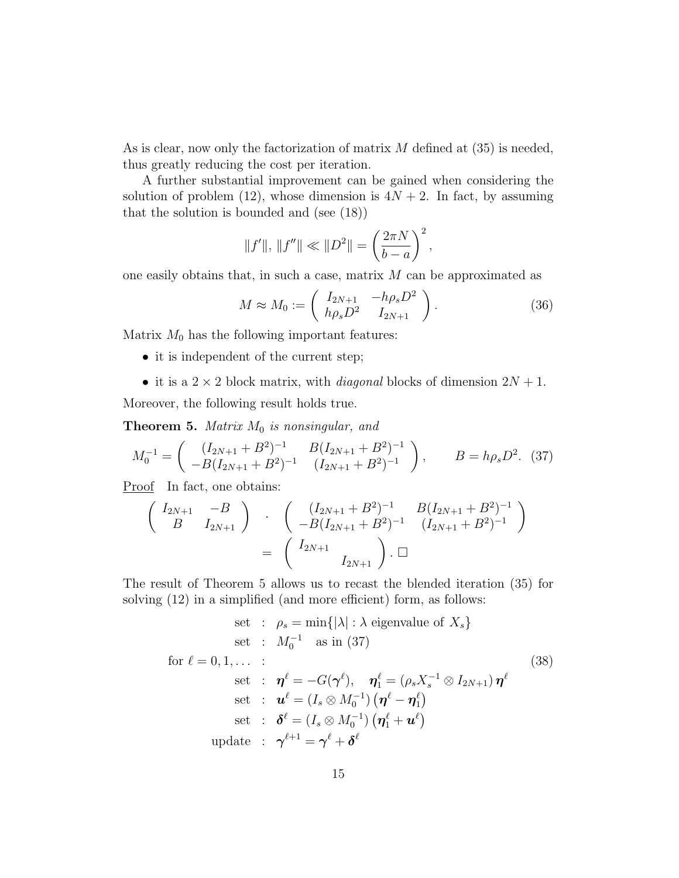As is clear, now only the factorization of matrix  $M$  defined at (35) is needed, thus greatly reducing the cost per iteration.

A further substantial improvement can be gained when considering the solution of problem (12), whose dimension is  $4N + 2$ . In fact, by assuming that the solution is bounded and (see (18))

$$
||f'||, ||f''|| \ll ||D^2|| = \left(\frac{2\pi N}{b-a}\right)^2,
$$

one easily obtains that, in such a case, matrix  $M$  can be approximated as

$$
M \approx M_0 := \begin{pmatrix} I_{2N+1} & -h\rho_s D^2 \\ h\rho_s D^2 & I_{2N+1} \end{pmatrix}.
$$
 (36)

Matrix  $M_0$  has the following important features:

- it is independent of the current step;
- it is a  $2 \times 2$  block matrix, with *diagonal* blocks of dimension  $2N + 1$ .

Moreover, the following result holds true.

**Theorem 5.** Matrix  $M_0$  is nonsingular, and

$$
M_0^{-1} = \begin{pmatrix} (I_{2N+1} + B^2)^{-1} & B(I_{2N+1} + B^2)^{-1} \\ -B(I_{2N+1} + B^2)^{-1} & (I_{2N+1} + B^2)^{-1} \end{pmatrix}, \qquad B = h\rho_s D^2. \tag{37}
$$

Proof In fact, one obtains:

$$
\begin{pmatrix}\nI_{2N+1} & -B \\
B & I_{2N+1}\n\end{pmatrix} \cdot \begin{pmatrix}\n(I_{2N+1} + B^2)^{-1} & B(I_{2N+1} + B^2)^{-1} \\
-B(I_{2N+1} + B^2)^{-1} & (I_{2N+1} + B^2)^{-1}\n\end{pmatrix}
$$
\n
$$
= \begin{pmatrix}\nI_{2N+1} & \Lambda \\
I_{2N+1}\n\end{pmatrix} \cdot \square
$$

The result of Theorem 5 allows us to recast the blended iteration (35) for solving (12) in a simplified (and more efficient) form, as follows:

set : 
$$
\rho_s = \min\{|\lambda| : \lambda \text{ eigenvalue of } X_s\}
$$
  
\nset :  $M_0^{-1}$  as in (37)  
\nfor  $\ell = 0, 1, ...$ :  
\nset :  $\boldsymbol{\eta}^{\ell} = -G(\boldsymbol{\gamma}^{\ell}), \quad \boldsymbol{\eta}_1^{\ell} = (\rho_s X_s^{-1} \otimes I_{2N+1}) \boldsymbol{\eta}^{\ell}$   
\nset :  $\boldsymbol{u}^{\ell} = (I_s \otimes M_0^{-1}) (\boldsymbol{\eta}^{\ell} - \boldsymbol{\eta}_1^{\ell})$   
\nset :  $\boldsymbol{\delta}^{\ell} = (I_s \otimes M_0^{-1}) (\boldsymbol{\eta}_1^{\ell} + \boldsymbol{u}^{\ell})$   
\nupdate :  $\boldsymbol{\gamma}^{\ell+1} = \boldsymbol{\gamma}^{\ell} + \boldsymbol{\delta}^{\ell}$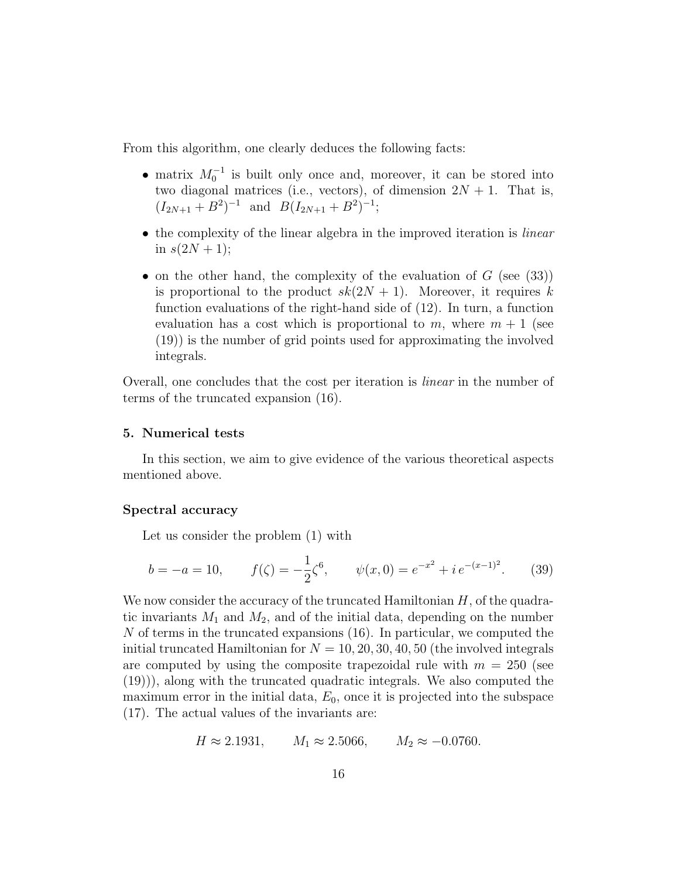From this algorithm, one clearly deduces the following facts:

- matrix  $M_0^{-1}$  is built only once and, moreover, it can be stored into two diagonal matrices (i.e., vectors), of dimension  $2N + 1$ . That is,  $(I_{2N+1} + B^2)^{-1}$  and  $B(I_{2N+1} + B^2)^{-1}$ ;
- the complexity of the linear algebra in the improved iteration is *linear* in  $s(2N + 1);$
- on the other hand, the complexity of the evaluation of  $G$  (see (33)) is proportional to the product  $sk(2N + 1)$ . Moreover, it requires k function evaluations of the right-hand side of (12). In turn, a function evaluation has a cost which is proportional to m, where  $m + 1$  (see (19)) is the number of grid points used for approximating the involved integrals.

Overall, one concludes that the cost per iteration is linear in the number of terms of the truncated expansion (16).

#### 5. Numerical tests

In this section, we aim to give evidence of the various theoretical aspects mentioned above.

#### Spectral accuracy

Let us consider the problem (1) with

$$
b = -a = 10, \t f(\zeta) = -\frac{1}{2}\zeta^6, \t \psi(x,0) = e^{-x^2} + i e^{-(x-1)^2}.
$$
 (39)

We now consider the accuracy of the truncated Hamiltonian  $H$ , of the quadratic invariants  $M_1$  and  $M_2$ , and of the initial data, depending on the number N of terms in the truncated expansions (16). In particular, we computed the initial truncated Hamiltonian for  $N = 10, 20, 30, 40, 50$  (the involved integrals are computed by using the composite trapezoidal rule with  $m = 250$  (see (19))), along with the truncated quadratic integrals. We also computed the maximum error in the initial data,  $E_0$ , once it is projected into the subspace (17). The actual values of the invariants are:

$$
H \approx 2.1931
$$
,  $M_1 \approx 2.5066$ ,  $M_2 \approx -0.0760$ .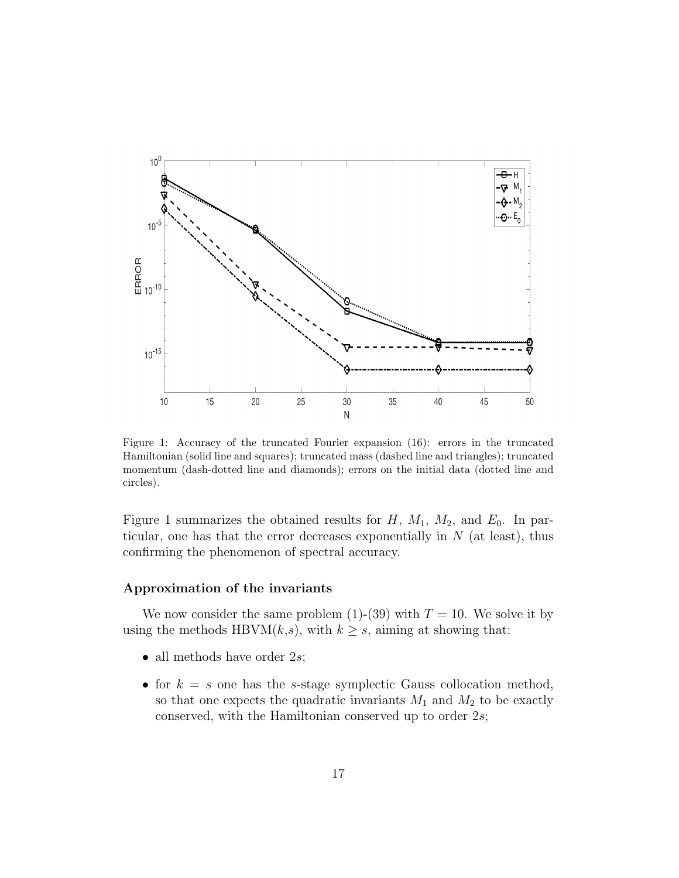

Figure 1: Accuracy of the truncated Fourier expansion (16): errors in the truncated Hamiltonian (solid line and squares); truncated mass (dashed line and triangles); truncated momentum (dash-dotted line and diamonds); errors on the initial data (dotted line and circles).

Figure 1 summarizes the obtained results for  $H$ ,  $M_1$ ,  $M_2$ , and  $E_0$ . In particular, one has that the error decreases exponentially in  $N$  (at least), thus confirming the phenomenon of spectral accuracy.

#### Approximation of the invariants

We now consider the same problem  $(1)-(39)$  with  $T = 10$ . We solve it by using the methods HBVM( $k, s$ ), with  $k \geq s$ , aiming at showing that:

- all methods have order  $2s$ ;
- for  $k = s$  one has the s-stage symplectic Gauss collocation method, so that one expects the quadratic invariants  $M_1$  and  $M_2$  to be exactly conserved, with the Hamiltonian conserved up to order 2s;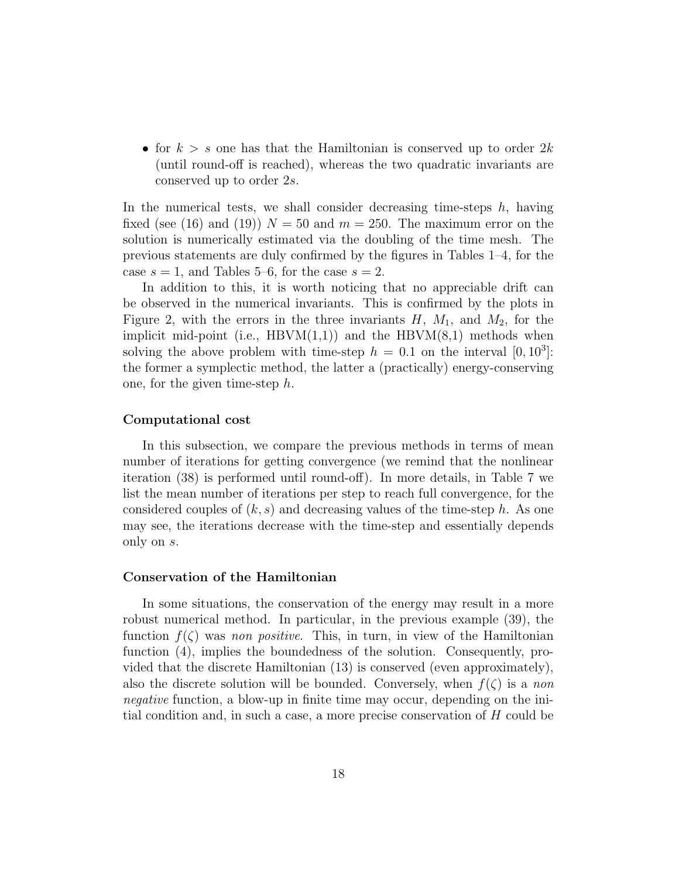• for  $k > s$  one has that the Hamiltonian is conserved up to order  $2k$ (until round-off is reached), whereas the two quadratic invariants are conserved up to order 2s.

In the numerical tests, we shall consider decreasing time-steps  $h$ , having fixed (see (16) and (19))  $N = 50$  and  $m = 250$ . The maximum error on the solution is numerically estimated via the doubling of the time mesh. The previous statements are duly confirmed by the figures in Tables 1–4, for the case  $s = 1$ , and Tables 5–6, for the case  $s = 2$ .

In addition to this, it is worth noticing that no appreciable drift can be observed in the numerical invariants. This is confirmed by the plots in Figure 2, with the errors in the three invariants  $H$ ,  $M_1$ , and  $M_2$ , for the implicit mid-point (i.e.,  $HBVM(1,1)$ ) and the  $HBVM(8,1)$  methods when solving the above problem with time-step  $h = 0.1$  on the interval  $[0, 10^3]$ : the former a symplectic method, the latter a (practically) energy-conserving one, for the given time-step  $h$ .

#### Computational cost

In this subsection, we compare the previous methods in terms of mean number of iterations for getting convergence (we remind that the nonlinear iteration (38) is performed until round-off). In more details, in Table 7 we list the mean number of iterations per step to reach full convergence, for the considered couples of  $(k, s)$  and decreasing values of the time-step h. As one may see, the iterations decrease with the time-step and essentially depends only on s.

#### Conservation of the Hamiltonian

In some situations, the conservation of the energy may result in a more robust numerical method. In particular, in the previous example (39), the function  $f(\zeta)$  was non positive. This, in turn, in view of the Hamiltonian function (4), implies the boundedness of the solution. Consequently, provided that the discrete Hamiltonian (13) is conserved (even approximately), also the discrete solution will be bounded. Conversely, when  $f(\zeta)$  is a non negative function, a blow-up in finite time may occur, depending on the initial condition and, in such a case, a more precise conservation of  $H$  could be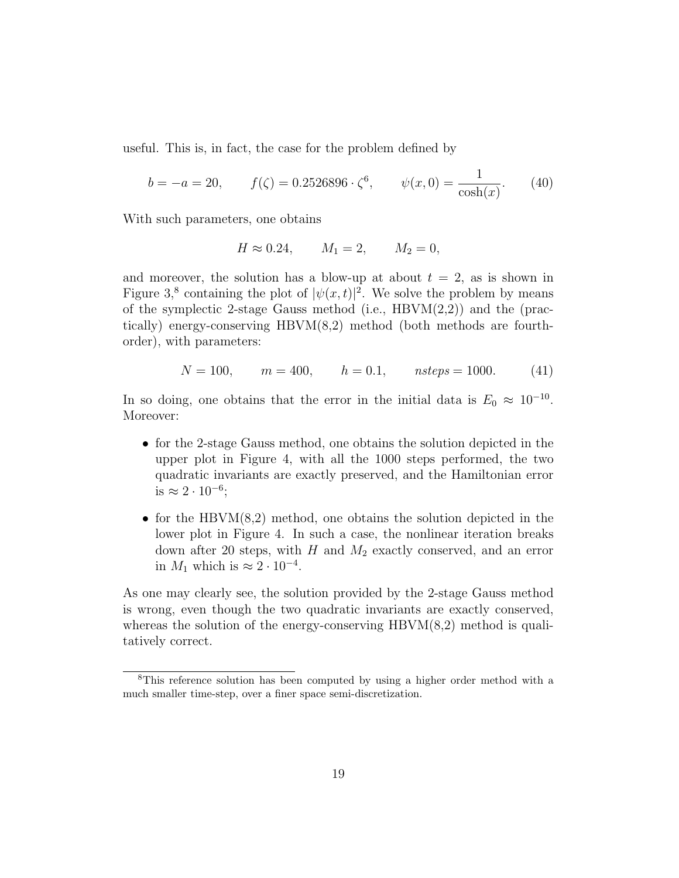useful. This is, in fact, the case for the problem defined by

$$
b = -a = 20, \t f(\zeta) = 0.2526896 \cdot \zeta^6, \t \psi(x, 0) = \frac{1}{\cosh(x)}.
$$
 (40)

With such parameters, one obtains

$$
H \approx 0.24
$$
,  $M_1 = 2$ ,  $M_2 = 0$ ,

and moreover, the solution has a blow-up at about  $t = 2$ , as is shown in Figure 3,<sup>8</sup> containing the plot of  $|\psi(x,t)|^2$ . We solve the problem by means of the symplectic 2-stage Gauss method (i.e.,  $HBVM(2,2)$ ) and the (practically) energy-conserving  $HBVM(8,2)$  method (both methods are fourthorder), with parameters:

$$
N = 100, \qquad m = 400, \qquad h = 0.1, \qquad nsteps = 1000. \tag{41}
$$

In so doing, one obtains that the error in the initial data is  $E_0 \approx 10^{-10}$ . Moreover:

- for the 2-stage Gauss method, one obtains the solution depicted in the upper plot in Figure 4, with all the 1000 steps performed, the two quadratic invariants are exactly preserved, and the Hamiltonian error is  $\approx 2 \cdot 10^{-6}$ ;
- for the HBVM $(8,2)$  method, one obtains the solution depicted in the lower plot in Figure 4. In such a case, the nonlinear iteration breaks down after 20 steps, with  $H$  and  $M_2$  exactly conserved, and an error in  $M_1$  which is  $\approx 2 \cdot 10^{-4}$ .

As one may clearly see, the solution provided by the 2-stage Gauss method is wrong, even though the two quadratic invariants are exactly conserved, whereas the solution of the energy-conserving  $HBVM(8,2)$  method is qualitatively correct.

<sup>8</sup>This reference solution has been computed by using a higher order method with a much smaller time-step, over a finer space semi-discretization.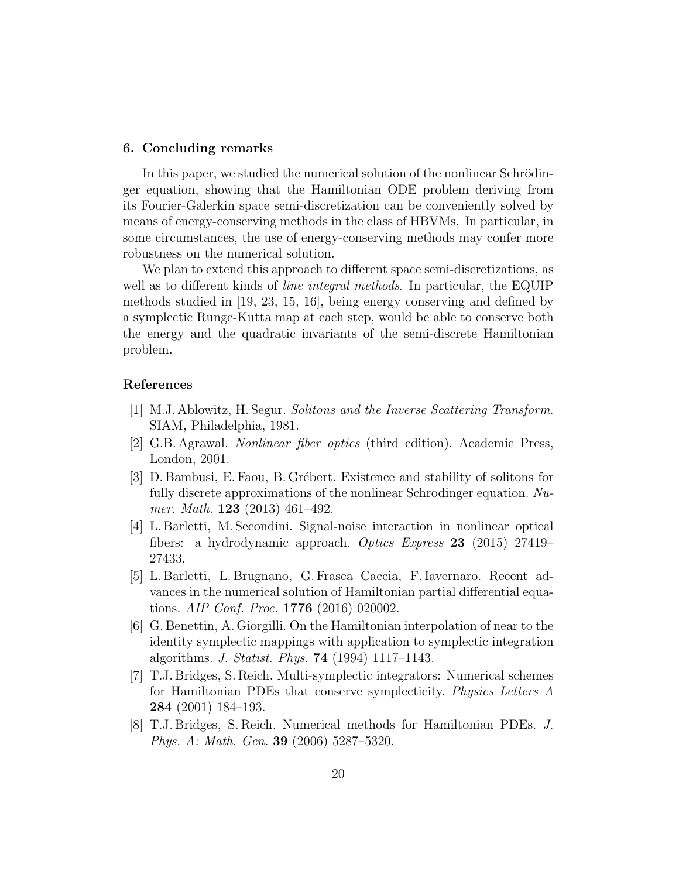#### 6. Concluding remarks

In this paper, we studied the numerical solution of the nonlinear Schrödinger equation, showing that the Hamiltonian ODE problem deriving from its Fourier-Galerkin space semi-discretization can be conveniently solved by means of energy-conserving methods in the class of HBVMs. In particular, in some circumstances, the use of energy-conserving methods may confer more robustness on the numerical solution.

We plan to extend this approach to different space semi-discretizations, as well as to different kinds of *line integral methods*. In particular, the EQUIP methods studied in [19, 23, 15, 16], being energy conserving and defined by a symplectic Runge-Kutta map at each step, would be able to conserve both the energy and the quadratic invariants of the semi-discrete Hamiltonian problem.

#### References

- [1] M.J. Ablowitz, H. Segur. Solitons and the Inverse Scattering Transform. SIAM, Philadelphia, 1981.
- [2] G.B. Agrawal. Nonlinear fiber optics (third edition). Academic Press, London, 2001.
- [3] D. Bambusi, E. Faou, B. Grébert. Existence and stability of solitons for fully discrete approximations of the nonlinear Schrodinger equation. Numer. Math. 123 (2013) 461–492.
- [4] L. Barletti, M. Secondini. Signal-noise interaction in nonlinear optical fibers: a hydrodynamic approach. Optics Express 23 (2015) 27419– 27433.
- [5] L. Barletti, L. Brugnano, G. Frasca Caccia, F. Iavernaro. Recent advances in the numerical solution of Hamiltonian partial differential equations. AIP Conf. Proc. 1776 (2016) 020002.
- [6] G. Benettin, A. Giorgilli. On the Hamiltonian interpolation of near to the identity symplectic mappings with application to symplectic integration algorithms. J. Statist. Phys. 74 (1994) 1117–1143.
- [7] T.J. Bridges, S. Reich. Multi-symplectic integrators: Numerical schemes for Hamiltonian PDEs that conserve symplecticity. Physics Letters A 284 (2001) 184–193.
- [8] T.J. Bridges, S. Reich. Numerical methods for Hamiltonian PDEs. J. Phys. A: Math. Gen. 39 (2006) 5287–5320.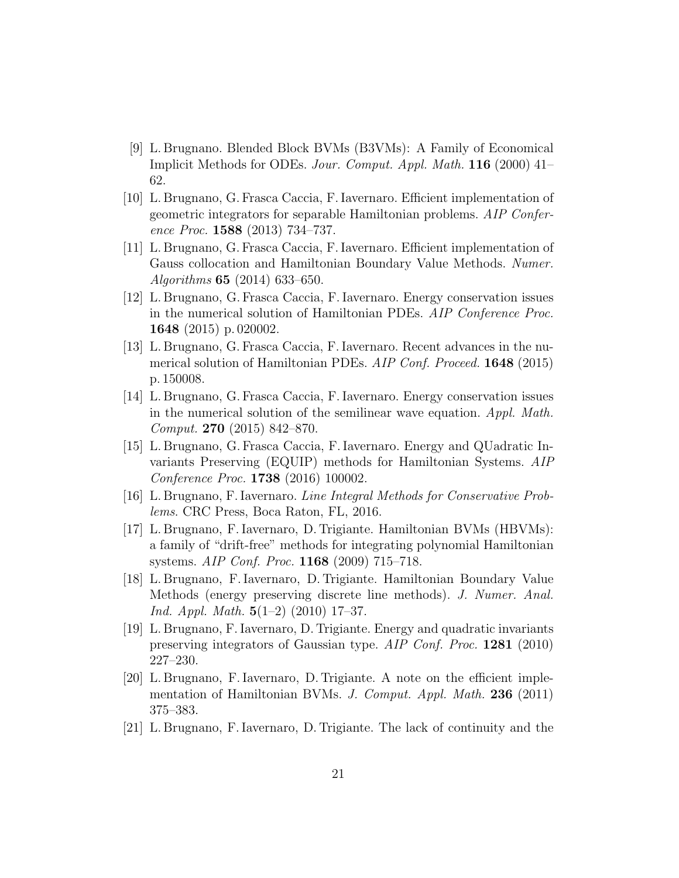- [9] L. Brugnano. Blended Block BVMs (B3VMs): A Family of Economical Implicit Methods for ODEs. Jour. Comput. Appl. Math. 116 (2000) 41– 62.
- [10] L. Brugnano, G. Frasca Caccia, F. Iavernaro. Efficient implementation of geometric integrators for separable Hamiltonian problems. AIP Conference Proc. 1588 (2013) 734–737.
- [11] L. Brugnano, G. Frasca Caccia, F. Iavernaro. Efficient implementation of Gauss collocation and Hamiltonian Boundary Value Methods. Numer. Algorithms 65 (2014) 633–650.
- [12] L. Brugnano, G. Frasca Caccia, F. Iavernaro. Energy conservation issues in the numerical solution of Hamiltonian PDEs. AIP Conference Proc. 1648 (2015) p. 020002.
- [13] L. Brugnano, G. Frasca Caccia, F. Iavernaro. Recent advances in the numerical solution of Hamiltonian PDEs. AIP Conf. Proceed. **1648** (2015) p. 150008.
- [14] L. Brugnano, G. Frasca Caccia, F. Iavernaro. Energy conservation issues in the numerical solution of the semilinear wave equation. Appl. Math. Comput. 270 (2015) 842–870.
- [15] L. Brugnano, G. Frasca Caccia, F. Iavernaro. Energy and QUadratic Invariants Preserving (EQUIP) methods for Hamiltonian Systems. AIP Conference Proc. 1738 (2016) 100002.
- [16] L. Brugnano, F. Iavernaro. Line Integral Methods for Conservative Problems. CRC Press, Boca Raton, FL, 2016.
- [17] L. Brugnano, F. Iavernaro, D. Trigiante. Hamiltonian BVMs (HBVMs): a family of "drift-free" methods for integrating polynomial Hamiltonian systems. AIP Conf. Proc. 1168 (2009) 715–718.
- [18] L. Brugnano, F. Iavernaro, D. Trigiante. Hamiltonian Boundary Value Methods (energy preserving discrete line methods). J. Numer. Anal. Ind. Appl. Math.  $5(1-2)$  (2010) 17-37.
- [19] L. Brugnano, F. Iavernaro, D. Trigiante. Energy and quadratic invariants preserving integrators of Gaussian type. AIP Conf. Proc. 1281 (2010) 227–230.
- [20] L. Brugnano, F. Iavernaro, D. Trigiante. A note on the efficient implementation of Hamiltonian BVMs. J. Comput. Appl. Math. 236 (2011) 375–383.
- [21] L. Brugnano, F. Iavernaro, D. Trigiante. The lack of continuity and the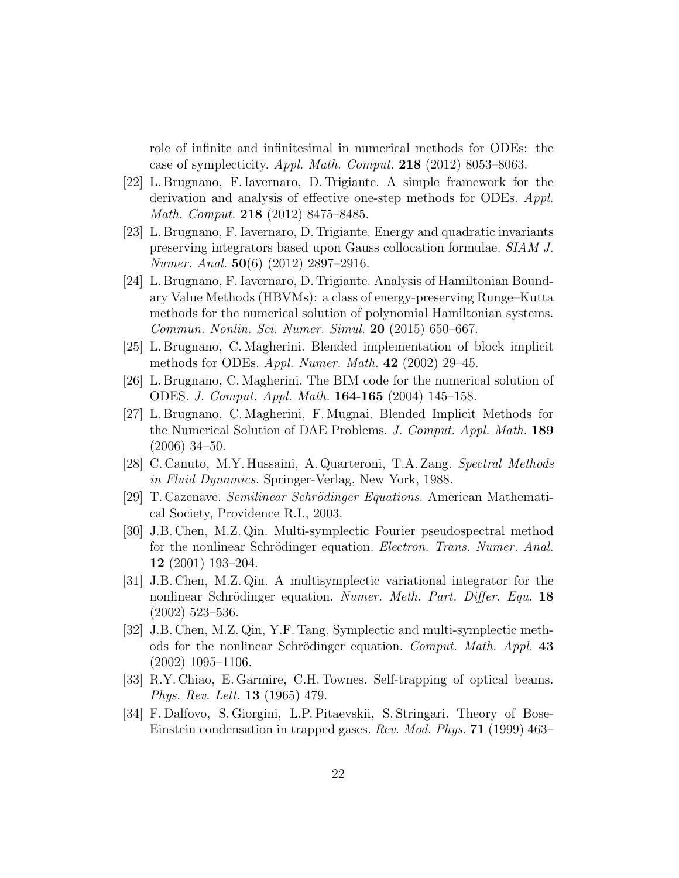role of infinite and infinitesimal in numerical methods for ODEs: the case of symplecticity. Appl. Math. Comput. 218 (2012) 8053–8063.

- [22] L. Brugnano, F. Iavernaro, D. Trigiante. A simple framework for the derivation and analysis of effective one-step methods for ODEs. Appl. Math. Comput. 218 (2012) 8475–8485.
- [23] L. Brugnano, F. Iavernaro, D. Trigiante. Energy and quadratic invariants preserving integrators based upon Gauss collocation formulae. SIAM J. Numer. Anal. 50(6) (2012) 2897–2916.
- [24] L. Brugnano, F. Iavernaro, D. Trigiante. Analysis of Hamiltonian Boundary Value Methods (HBVMs): a class of energy-preserving Runge–Kutta methods for the numerical solution of polynomial Hamiltonian systems. Commun. Nonlin. Sci. Numer. Simul. 20 (2015) 650–667.
- [25] L. Brugnano, C. Magherini. Blended implementation of block implicit methods for ODEs. Appl. Numer. Math.  $42$  (2002) 29–45.
- [26] L. Brugnano, C. Magherini. The BIM code for the numerical solution of ODES. J. Comput. Appl. Math. 164-165 (2004) 145–158.
- [27] L. Brugnano, C. Magherini, F. Mugnai. Blended Implicit Methods for the Numerical Solution of DAE Problems. J. Comput. Appl. Math. 189 (2006) 34–50.
- [28] C. Canuto, M.Y. Hussaini, A. Quarteroni, T.A. Zang. Spectral Methods in Fluid Dynamics. Springer-Verlag, New York, 1988.
- [29] T. Cazenave. Semilinear Schrödinger Equations. American Mathematical Society, Providence R.I., 2003.
- [30] J.B. Chen, M.Z. Qin. Multi-symplectic Fourier pseudospectral method for the nonlinear Schrödinger equation. *Electron. Trans. Numer. Anal.* 12 (2001) 193–204.
- [31] J.B. Chen, M.Z. Qin. A multisymplectic variational integrator for the nonlinear Schrödinger equation. Numer. Meth. Part. Differ. Equ. 18 (2002) 523–536.
- [32] J.B. Chen, M.Z. Qin, Y.F. Tang. Symplectic and multi-symplectic methods for the nonlinear Schrödinger equation. Comput. Math. Appl. 43 (2002) 1095–1106.
- [33] R.Y. Chiao, E. Garmire, C.H. Townes. Self-trapping of optical beams. Phys. Rev. Lett. 13 (1965) 479.
- [34] F. Dalfovo, S. Giorgini, L.P. Pitaevskii, S. Stringari. Theory of Bose-Einstein condensation in trapped gases. Rev. Mod. Phys. 71 (1999) 463–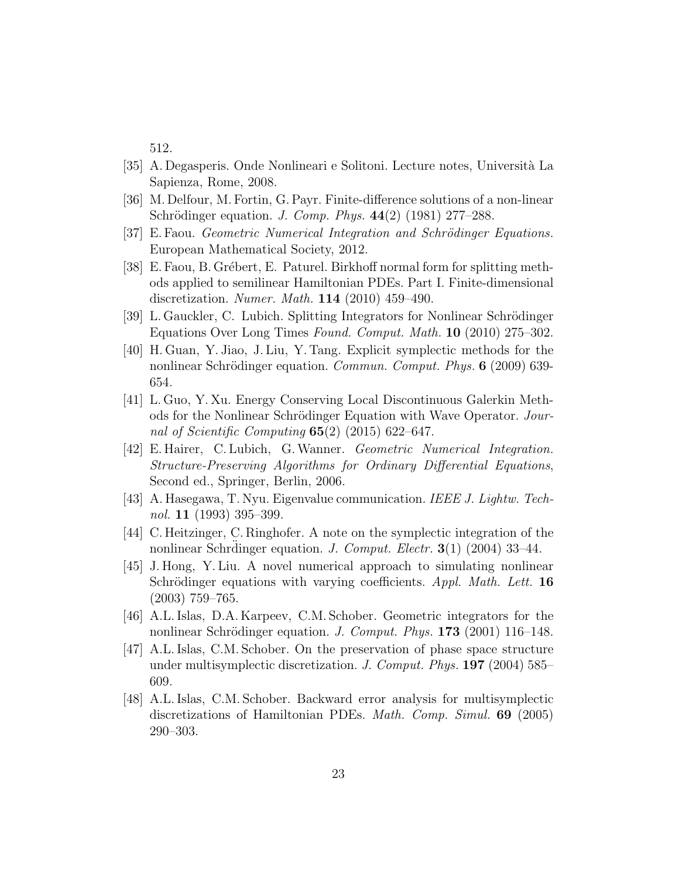512.

- [35] A. Degasperis. Onde Nonlineari e Solitoni. Lecture notes, Universit`a La Sapienza, Rome, 2008.
- [36] M. Delfour, M. Fortin, G. Payr. Finite-difference solutions of a non-linear Schrödinger equation. *J. Comp. Phys.*  $44(2)$  (1981) 277–288.
- [37] E. Faou. *Geometric Numerical Integration and Schrödinger Equations.* European Mathematical Society, 2012.
- [38] E. Faou, B. Grébert, E. Paturel. Birkhoff normal form for splitting methods applied to semilinear Hamiltonian PDEs. Part I. Finite-dimensional discretization. Numer. Math. 114 (2010) 459–490.
- [39] L. Gauckler, C. Lubich. Splitting Integrators for Nonlinear Schrödinger Equations Over Long Times Found. Comput. Math. 10 (2010) 275–302.
- [40] H. Guan, Y. Jiao, J. Liu, Y. Tang. Explicit symplectic methods for the nonlinear Schrödinger equation. *Commun. Comput. Phys.* **6** (2009) 639-654.
- [41] L. Guo, Y. Xu. Energy Conserving Local Discontinuous Galerkin Methods for the Nonlinear Schrödinger Equation with Wave Operator. Journal of Scientific Computing  $65(2)$  (2015) 622-647.
- [42] E. Hairer, C. Lubich, G.Wanner. Geometric Numerical Integration. Structure-Preserving Algorithms for Ordinary Differential Equations, Second ed., Springer, Berlin, 2006.
- [43] A. Hasegawa, T. Nyu. Eigenvalue communication. IEEE J. Lightw. Technol. 11 (1993) 395–399.
- [44] C. Heitzinger, C. Ringhofer. A note on the symplectic integration of the nonlinear Schrdinger equation. *J. Comput. Electr.* **3**(1) (2004) 33–44.
- [45] J. Hong, Y. Liu. A novel numerical approach to simulating nonlinear Schrödinger equations with varying coefficients.  $Appl. Math. Let t. 16$ (2003) 759–765.
- [46] A.L. Islas, D.A. Karpeev, C.M. Schober. Geometric integrators for the nonlinear Schrödinger equation. J. Comput. Phys. 173 (2001) 116-148.
- [47] A.L. Islas, C.M. Schober. On the preservation of phase space structure under multisymplectic discretization. J. Comput. Phys. 197 (2004) 585– 609.
- [48] A.L. Islas, C.M. Schober. Backward error analysis for multisymplectic discretizations of Hamiltonian PDEs. Math. Comp. Simul. 69 (2005) 290–303.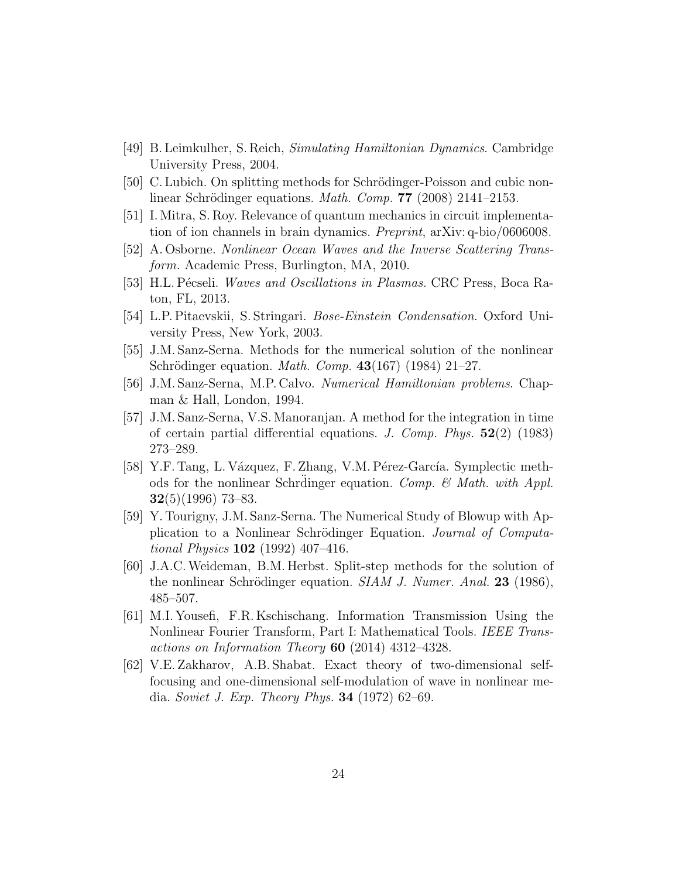- [49] B. Leimkulher, S. Reich, Simulating Hamiltonian Dynamics. Cambridge University Press, 2004.
- [50] C. Lubich. On splitting methods for Schrödinger-Poisson and cubic nonlinear Schrödinger equations. *Math. Comp.* **77** (2008) 2141–2153.
- [51] I. Mitra, S. Roy. Relevance of quantum mechanics in circuit implementation of ion channels in brain dynamics. Preprint, arXiv: q-bio/0606008.
- [52] A. Osborne. Nonlinear Ocean Waves and the Inverse Scattering Transform. Academic Press, Burlington, MA, 2010.
- [53] H.L. Pécseli. Waves and Oscillations in Plasmas. CRC Press, Boca Raton, FL, 2013.
- [54] L.P. Pitaevskii, S. Stringari. Bose-Einstein Condensation. Oxford University Press, New York, 2003.
- [55] J.M. Sanz-Serna. Methods for the numerical solution of the nonlinear Schrödinger equation. *Math. Comp.*  $43(167)$  (1984) 21–27.
- [56] J.M. Sanz-Serna, M.P. Calvo. Numerical Hamiltonian problems. Chapman & Hall, London, 1994.
- [57] J.M. Sanz-Serna, V.S. Manoranjan. A method for the integration in time of certain partial differential equations. J. Comp. Phys.  $52(2)$  (1983) 273–289.
- [58] Y.F. Tang, L. Vázquez, F. Zhang, V.M. Pérez-García. Symplectic methods for the nonlinear Schrdinger equation. Comp.  $\mathcal{C}$  Math. with Appl.  $32(5)(1996)$  73–83.
- [59] Y. Tourigny, J.M. Sanz-Serna. The Numerical Study of Blowup with Application to a Nonlinear Schrödinger Equation. Journal of Computational Physics 102 (1992) 407–416.
- [60] J.A.C.Weideman, B.M. Herbst. Split-step methods for the solution of the nonlinear Schrödinger equation. SIAM J. Numer. Anal. 23 (1986), 485–507.
- [61] M.I. Yousefi, F.R. Kschischang. Information Transmission Using the Nonlinear Fourier Transform, Part I: Mathematical Tools. IEEE Transactions on Information Theory 60 (2014) 4312–4328.
- [62] V.E. Zakharov, A.B. Shabat. Exact theory of two-dimensional selffocusing and one-dimensional self-modulation of wave in nonlinear media. Soviet J. Exp. Theory Phys. 34 (1972) 62–69.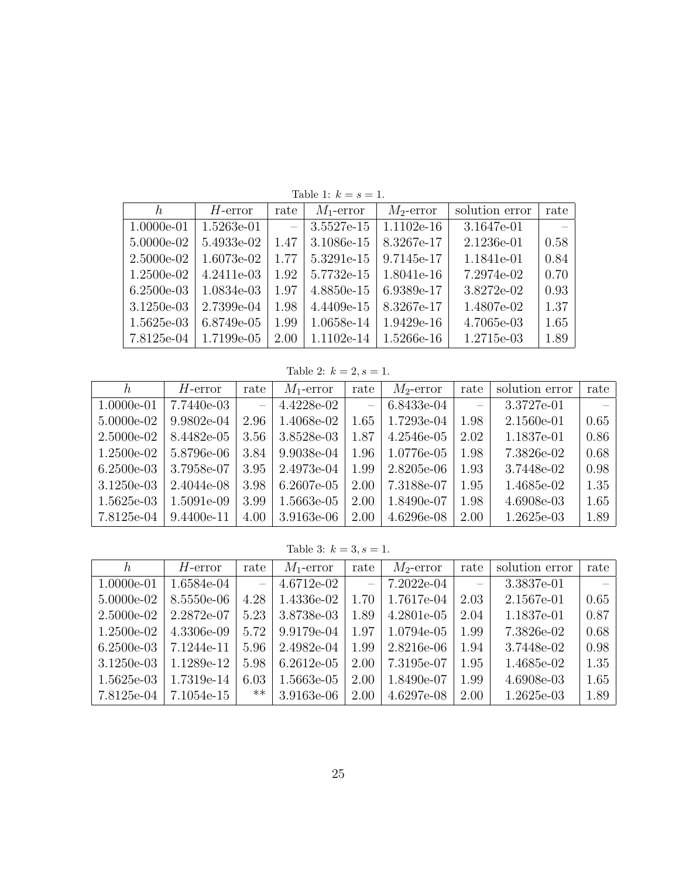| h.         | $H$ -error | rate     | $M_1$ -error | $M_2$ -error | solution error | rate   |
|------------|------------|----------|--------------|--------------|----------------|--------|
| 1.0000e-01 | 1.5263e-01 | $\equiv$ | 3.5527e-15   | $1.1102e-16$ | 3.1647e-01     | $\sim$ |
| 5.0000e-02 | 5.4933e-02 | 1.47     | 3.1086e-15   | 8.3267e-17   | 2.1236e-01     | 0.58   |
| 2.5000e-02 | 1.6073e-02 | 1.77     | 5.3291e-15   | 9.7145e-17   | 1.1841e-01     | 0.84   |
| 1.2500e-02 | 4.2411e-03 | 1.92     | 5.7732e-15   | 1.8041e-16   | 7.2974e-02     | 0.70   |
| 6.2500e-03 | 1.0834e-03 | 1.97     | 4.8850e-15   | 6.9389e-17   | 3.8272e-02     | 0.93   |
| 3.1250e-03 | 2.7399e-04 | 1.98     | 4.4409e-15   | 8.3267e-17   | 1.4807e-02     | 1.37   |
| 1.5625e-03 | 6.8749e-05 | 1.99     | 1.0658e-14   | 1.9429e-16   | 4.7065e-03     | 1.65   |
| 7.8125e-04 | 1.7199e-05 | 2.00     | 1.1102e-14   | 1.5266e-16   | 1.2715e-03     | 1.89   |

Table 1:  $k=s=1.$ 

Table 2:  $k = 2, s = 1$ .

| h,           | $H$ -error   | rate          | $M_1$ -error | rate | $M_2$ -error | rate                     | solution error | rate |
|--------------|--------------|---------------|--------------|------|--------------|--------------------------|----------------|------|
| 1.0000e-01   | 7.7440e-03   | $\frac{1}{2}$ | 4.4228e-02   |      | 6.8433e-04   | $\overline{\phantom{m}}$ | 3.3727e-01     |      |
| 5.0000e-02   | 9.9802e-04   | 2.96          | 1.4068e-02   | 1.65 | 1.7293e-04   | 1.98                     | 2.1560e-01     | 0.65 |
| 2.5000e-02   | 8.4482e-05   | 3.56          | 3.8528e-03   | 1.87 | 4.2546e-05   | 2.02                     | 1.1837e-01     | 0.86 |
| 1.2500e-02   | 5.8796e-06   | 3.84          | 9.9038e-04   | 1.96 | 1.0776e-05   | 1.98                     | 7.3826e-02     | 0.68 |
| $6.2500e-03$ | 3.7958e-07   | 3.95          | 2.4973e-04   | 1.99 | 2.8205e-06   | 1.93                     | 3.7448e-02     | 0.98 |
| 3.1250e-03   | 2.4044e-08   | 3.98          | $6.2607e-05$ | 2.00 | 7.3188e-07   | 1.95                     | 1.4685e-02     | 1.35 |
| $1.5625e-03$ | 1.5091e-09   | 3.99          | 1.5663e-05   | 2.00 | 1.8490e-07   | 1.98                     | 4.6908e-03     | 1.65 |
| 7.8125e-04   | $9.4400e-11$ | 4.00          | 3.9163e-06   | 2.00 | 4.6296e-08   | 2.00                     | 1.2625e-03     | 1.89 |

Table 3:  $k = 3, s = 1$ .

| h.           | $H$ -error | rate                     | $M_1$ -error | rate     | $M_2$ -error | rate                     | solution error | rate |
|--------------|------------|--------------------------|--------------|----------|--------------|--------------------------|----------------|------|
| $1.0000e-01$ | 1.6584e-04 | $\overline{\phantom{m}}$ | $4.6712e-02$ | $\equiv$ | 7.2022e-04   | $\overline{\phantom{m}}$ | 3.3837e-01     |      |
| 5.0000e-02   | 8.5550e-06 | 4.28                     | 1.4336e-02   | 1.70     | 1.7617e-04   | 2.03                     | 2.1567e-01     | 0.65 |
| $2.5000e-02$ | 2.2872e-07 | 5.23                     | 3.8738e-03   | 1.89     | 4.2801e-05   | 2.04                     | 1.1837e-01     | 0.87 |
| $1.2500e-02$ | 4.3306e-09 | 5.72                     | 9.9179e-04   | 1.97     | 1.0794e-05   | 1.99                     | 7.3826e-02     | 0.68 |
| $6.2500e-03$ | 7.1244e-11 | 5.96                     | 2.4982e-04   | 1.99     | 2.8216e-06   | 1.94                     | 3.7448e-02     | 0.98 |
| $3.1250e-03$ | 1.1289e-12 | 5.98                     | $6.2612e-05$ | 2.00     | 7.3195e-07   | 1.95                     | 1.4685e-02     | 1.35 |
| $1.5625e-03$ | 1.7319e-14 | 6.03                     | 1.5663e-05   | 2.00     | 1.8490e-07   | 1.99                     | 4.6908e-03     | 1.65 |
| 7.8125e-04   | 7.1054e-15 | **                       | 3.9163e-06   | 2.00     | 4.6297e-08   | 2.00                     | 1.2625e-03     | 1.89 |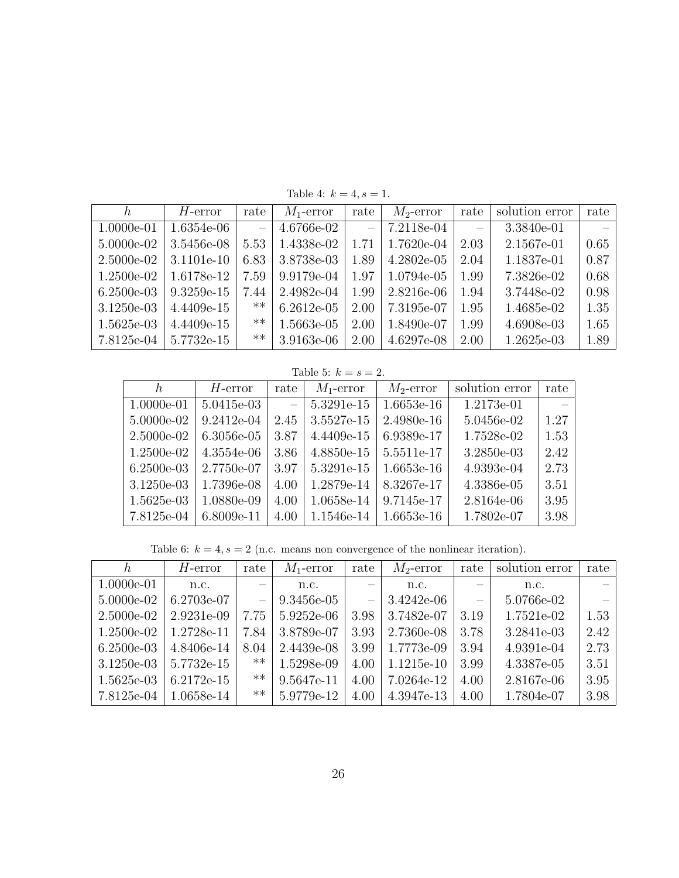| h.           | $H$ -error   | rate                     | $M_1$ -error | rate                     | $M_2$ -error | rate | solution error | rate |
|--------------|--------------|--------------------------|--------------|--------------------------|--------------|------|----------------|------|
| 1.0000e-01   | $1.6354e-06$ | $\overline{\phantom{m}}$ | 4.6766e-02   | $\overline{\phantom{m}}$ | 7.2118e-04   |      | 3.3840e-01     |      |
| 5.0000e-02   | 3.5456e-08   | 5.53                     | 1.4338e-02   | 1.71                     | 1.7620e-04   | 2.03 | 2.1567e-01     | 0.65 |
| 2.5000e-02   | 3.1101e-10   | 6.83                     | 3.8738e-03   | 1.89                     | $4.2802e-05$ | 2.04 | 1.1837e-01     | 0.87 |
| $1.2500e-02$ | 1.6178e-12   | 7.59                     | 9.9179e-04   | 1.97                     | 1.0794e-05   | 1.99 | 7.3826e-02     | 0.68 |
| $6.2500e-03$ | 9.3259e-15   | 7.44                     | 2.4982e-04   | 1.99                     | 2.8216e-06   | 1.94 | 3.7448e-02     | 0.98 |
| 3.1250e-03   | 4.4409e-15   | $***$                    | $6.2612e-05$ | 2.00                     | 7.3195e-07   | 1.95 | 1.4685e-02     | 1.35 |
| $1.5625e-03$ | 4.4409e-15   | $***$                    | 1.5663e-05   | 2.00                     | 1.8490e-07   | 1.99 | 4.6908e-03     | 1.65 |
| 7.8125e-04   | 5.7732e-15   | $***$                    | 3.9163e-06   | 2.00                     | 4.6297e-08   | 2.00 | 1.2625e-03     | 1.89 |

Table 4:  $k = 4, s = 1$ .

Table 5:  $k = s = 2$ .

| h.           | $H$ -error | rate                     | $M_1$ -error | $M_2$ -error | solution error | rate |
|--------------|------------|--------------------------|--------------|--------------|----------------|------|
| 1.0000e-01   | 5.0415e-03 | $\overline{\phantom{m}}$ | 5.3291e-15   | 1.6653e-16   | 1.2173e-01     |      |
| 5.0000e-02   | 9.2412e-04 | 2.45                     | 3.5527e-15   | 2.4980e-16   | 5.0456e-02     | 1.27 |
| 2.5000e-02   | 6.3056e-05 | 3.87                     | 4.4409e-15   | 6.9389e-17   | 1.7528e-02     | 1.53 |
| 1.2500e-02   | 4.3554e-06 | 3.86                     | 4.8850e-15   | 5.5511e-17   | 3.2850e-03     | 2.42 |
| $6.2500e-03$ | 2.7750e-07 | 3.97                     | 5.3291e-15   | 1.6653e-16   | 4.9393e-04     | 2.73 |
| 3.1250e-03   | 1.7396e-08 | 4.00                     | 1.2879e-14   | 8.3267e-17   | 4.3386e-05     | 3.51 |
| 1.5625e-03   | 1.0880e-09 | 4.00                     | 1.0658e-14   | 9.7145e-17   | 2.8164e-06     | 3.95 |
| 7.8125e-04   | 6.8009e-11 | 4.00                     | 1.1546e-14   | 1.6653e-16   | 1.7802e-07     | 3.98 |

Table 6:  $k = 4, s = 2$  (n.c. means non convergence of the nonlinear iteration).

| h.           | $H$ -error   | rate                     | $M_1$ -error | rate | $M_2$ -error | rate | solution error | rate |
|--------------|--------------|--------------------------|--------------|------|--------------|------|----------------|------|
| $1.0000e-01$ | n.c.         | $\qquad \qquad -$        | n.c.         |      | n.c.         |      | n.c.           |      |
| 5.0000e-02   | 6.2703e-07   | $\overline{\phantom{0}}$ | 9.3456e-05   |      | $3.4242e-06$ |      | 5.0766e-02     |      |
| 2.5000e-02   | 2.9231e-09   | 7.75                     | $5.9252e-06$ | 3.98 | 3.7482e-07   | 3.19 | 1.7521e-02     | 1.53 |
| $1.2500e-02$ | 1.2728e-11   | 7.84                     | 3.8789e-07   | 3.93 | 2.7360e-08   | 3.78 | 3.2841e-03     | 2.42 |
| $6.2500e-03$ | 4.8406e-14   | 8.04                     | 2.4439e-08   | 3.99 | 1.7773e-09   | 3.94 | 4.9391e-04     | 2.73 |
| $3.1250e-03$ | 5.7732e-15   | $**$                     | 1.5298e-09   | 4.00 | 1.1215e-10   | 3.99 | 4.3387e-05     | 3.51 |
| $1.5625e-03$ | $6.2172e-15$ | $***$                    | 9.5647e-11   | 4.00 | 7.0264e-12   | 4.00 | 2.8167e-06     | 3.95 |
| 7.8125e-04   | 1.0658e-14   | $***$                    | 5.9779e-12   | 4.00 | 4.3947e-13   | 4.00 | 1.7804e-07     | 3.98 |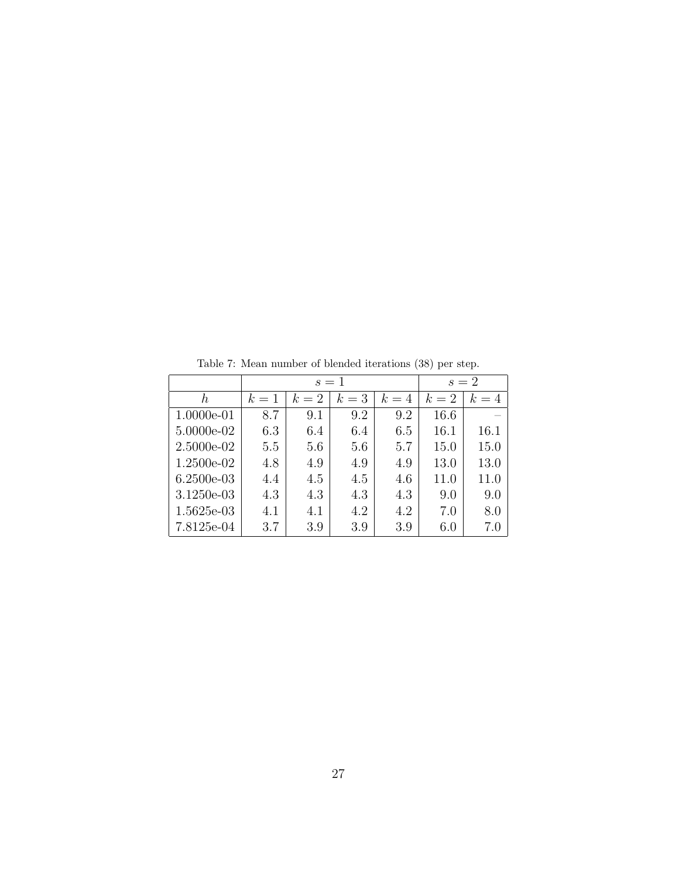|            |       | $s=1$ |       | $s=2$ |       |       |
|------------|-------|-------|-------|-------|-------|-------|
| h          | $k=1$ | $k=2$ | $k=3$ | $k=4$ | $k=2$ | $k=4$ |
| 1.0000e-01 | 8.7   | 9.1   | 9.2   | 9.2   | 16.6  |       |
| 5.0000e-02 | 6.3   | 6.4   | 6.4   | 6.5   | 16.1  | 16.1  |
| 2.5000e-02 | 5.5   | 5.6   | 5.6   | 5.7   | 15.0  | 15.0  |
| 1.2500e-02 | 4.8   | 4.9   | 4.9   | 4.9   | 13.0  | 13.0  |
| 6.2500e-03 | 4.4   | 4.5   | 4.5   | 4.6   | 11.0  | 11.0  |
| 3.1250e-03 | 4.3   | 4.3   | 4.3   | 4.3   | 9.0   | 9.0   |
| 1.5625e-03 | 4.1   | 4.1   | 4.2   | 4.2   | 7.0   | 8.0   |
| 7.8125e-04 | 3.7   | 3.9   | 3.9   | 3.9   | 6.0   | 7.0   |

Table 7: Mean number of blended iterations (38) per step.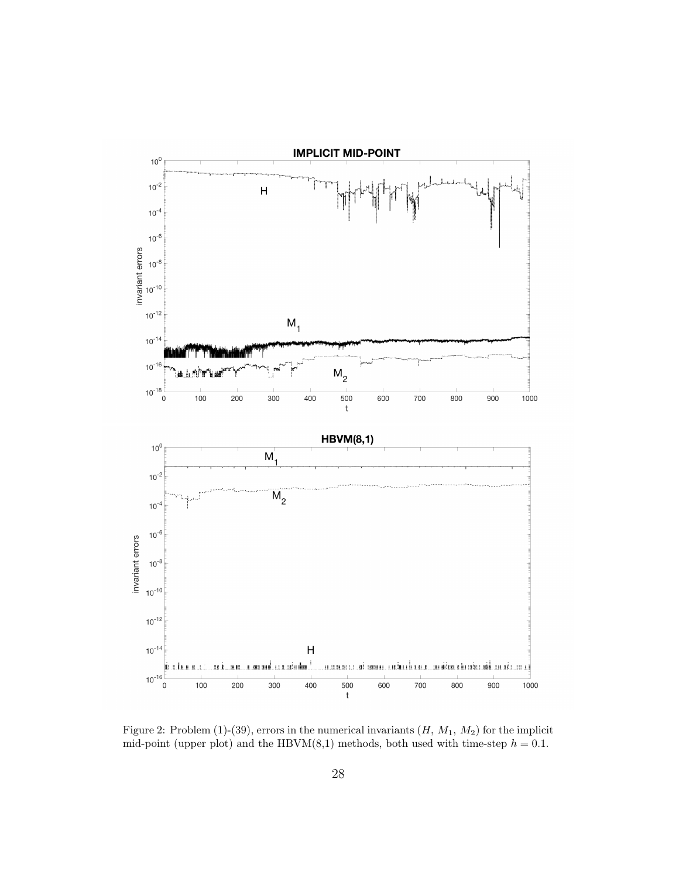

Figure 2: Problem (1)-(39), errors in the numerical invariants  $(H, M_1, M_2)$  for the implicit mid-point (upper plot) and the HBVM $(8,1)$  methods, both used with time-step  $h = 0.1$ .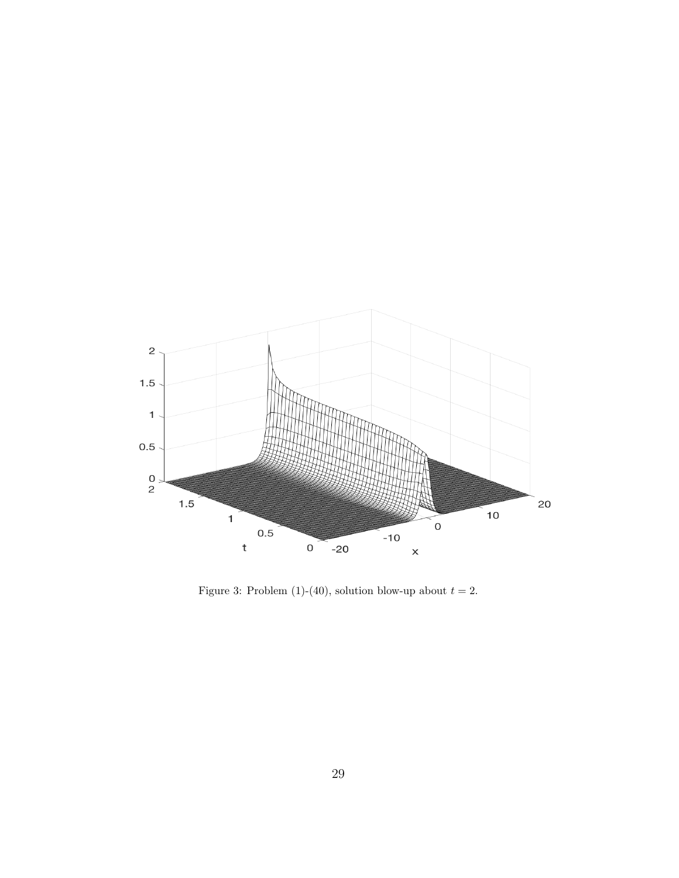

Figure 3: Problem (1)-(40), solution blow-up about  $t = 2$ .